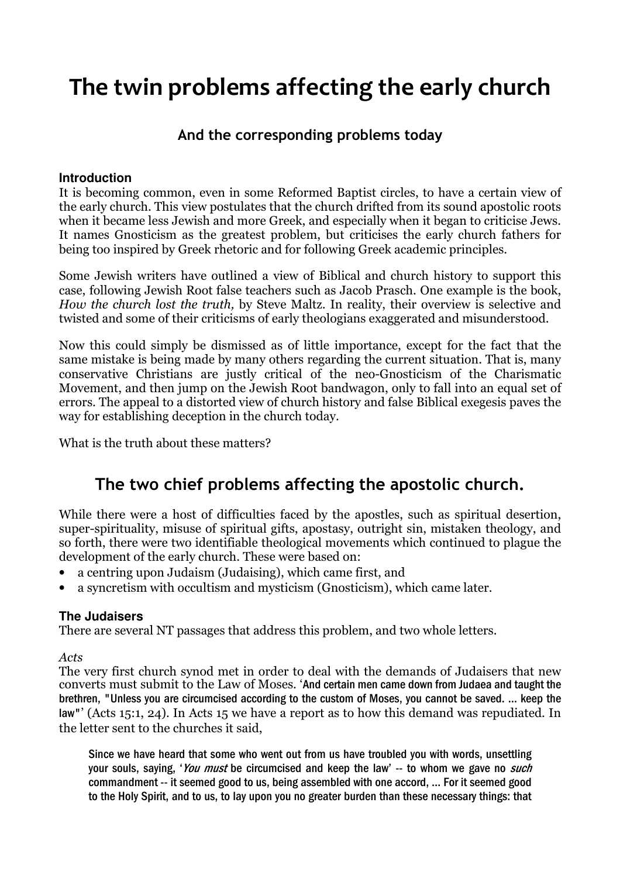# The twin problems affecting the early church

# And the corresponding problems today

#### **Introduction**

It is becoming common, even in some Reformed Baptist circles, to have a certain view of the early church. This view postulates that the church drifted from its sound apostolic roots when it became less Jewish and more Greek, and especially when it began to criticise Jews. It names Gnosticism as the greatest problem, but criticises the early church fathers for being too inspired by Greek rhetoric and for following Greek academic principles.

Some Jewish writers have outlined a view of Biblical and church history to support this case, following Jewish Root false teachers such as Jacob Prasch. One example is the book, How the church lost the truth, by Steve Maltz. In reality, their overview is selective and twisted and some of their criticisms of early theologians exaggerated and misunderstood.

Now this could simply be dismissed as of little importance, except for the fact that the same mistake is being made by many others regarding the current situation. That is, many conservative Christians are justly critical of the neo-Gnosticism of the Charismatic Movement, and then jump on the Jewish Root bandwagon, only to fall into an equal set of errors. The appeal to a distorted view of church history and false Biblical exegesis paves the way for establishing deception in the church today.

What is the truth about these matters?

# The two chief problems affecting the apostolic church.

While there were a host of difficulties faced by the apostles, such as spiritual desertion, super-spirituality, misuse of spiritual gifts, apostasy, outright sin, mistaken theology, and so forth, there were two identifiable theological movements which continued to plague the development of the early church. These were based on:

- a centring upon Judaism (Judaising), which came first, and
- a syncretism with occultism and mysticism (Gnosticism), which came later.

#### **The Judaisers**

There are several NT passages that address this problem, and two whole letters.

#### Acts

The very first church synod met in order to deal with the demands of Judaisers that new converts must submit to the Law of Moses. 'And certain men came down from Judaea and taught the brethren, "Unless you are circumcised according to the custom of Moses, you cannot be saved. … keep the law"' (Acts 15:1, 24). In Acts 15 we have a report as to how this demand was repudiated. In the letter sent to the churches it said,

Since we have heard that some who went out from us have troubled you with words, unsettling your souls, saying, 'You must be circumcised and keep the law' -- to whom we gave no such commandment -- it seemed good to us, being assembled with one accord, … For it seemed good to the Holy Spirit, and to us, to lay upon you no greater burden than these necessary things: that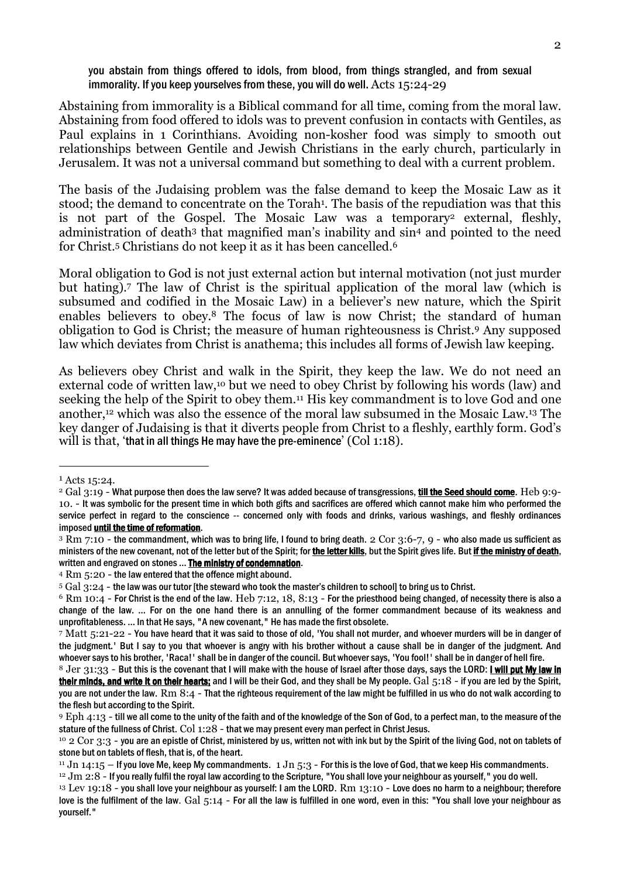you abstain from things offered to idols, from blood, from things strangled, and from sexual immorality. If you keep yourselves from these, you will do well. Acts 15:24-29

Abstaining from immorality is a Biblical command for all time, coming from the moral law. Abstaining from food offered to idols was to prevent confusion in contacts with Gentiles, as Paul explains in 1 Corinthians. Avoiding non-kosher food was simply to smooth out relationships between Gentile and Jewish Christians in the early church, particularly in Jerusalem. It was not a universal command but something to deal with a current problem.

The basis of the Judaising problem was the false demand to keep the Mosaic Law as it stood; the demand to concentrate on the Torah<sup>1</sup>. The basis of the repudiation was that this is not part of the Gospel. The Mosaic Law was a temporary<sup>2</sup> external, fleshly, administration of death3 that magnified man's inability and sin4 and pointed to the need for Christ.5 Christians do not keep it as it has been cancelled. 6

Moral obligation to God is not just external action but internal motivation (not just murder but hating).7 The law of Christ is the spiritual application of the moral law (which is subsumed and codified in the Mosaic Law) in a believer's new nature, which the Spirit enables believers to obey.8 The focus of law is now Christ; the standard of human obligation to God is Christ; the measure of human righteousness is Christ.9 Any supposed law which deviates from Christ is anathema; this includes all forms of Jewish law keeping.

As believers obey Christ and walk in the Spirit, they keep the law. We do not need an external code of written law,10 but we need to obey Christ by following his words (law) and seeking the help of the Spirit to obey them.11 His key commandment is to love God and one another,12 which was also the essence of the moral law subsumed in the Mosaic Law.13 The key danger of Judaising is that it diverts people from Christ to a fleshly, earthly form. God's will is that, 'that in all things He may have the pre-eminence' (Col 1:18).

 $\overline{a}$ 

<sup>4</sup> Rm 5:20 - the law entered that the offence might abound.

 $12$  Jm  $2:8$  - If you really fulfil the royal law according to the Scripture, "You shall love your neighbour as yourself." you do well.

<sup>&</sup>lt;sup>1</sup> Acts 15:24.

<sup>&</sup>lt;sup>2</sup> Gal 3:19 - What purpose then does the law serve? It was added because of transgressions, **till the Seed should come**. Heb 9:9-10. - It was symbolic for the present time in which both gifts and sacrifices are offered which cannot make him who performed the service perfect in regard to the conscience -- concerned only with foods and drinks, various washings, and fleshly ordinances imposed until the time of reformation.

<sup>3</sup> Rm 7:10 - the commandment, which was to bring life, I found to bring death. 2 Cor 3:6-7, 9 - who also made us sufficient as ministers of the new covenant, not of the letter but of the Spirit; for the letter kills, but the Spirit gives life. But if the ministry of death, written and engraved on stones ... The ministry of condemnation.

<sup>5</sup> Gal 3:24 - the law was our tutor [the steward who took the master's children to school] to bring us to Christ.

 $6$  Rm  $10:4$  - For Christ is the end of the law. Heb  $7:12, 18, 8:13$  - For the priesthood being changed, of necessity there is also a change of the law. … For on the one hand there is an annulling of the former commandment because of its weakness and unprofitableness. … In that He says, "A new covenant," He has made the first obsolete.

 $7$   $\rm{Matt}$  5:21-22 - You have heard that it was said to those of old, 'You shall not murder, and whoever murders will be in danger of the judgment.' But I say to you that whoever is angry with his brother without a cause shall be in danger of the judgment. And whoever says to his brother, 'Raca!' shall be in danger of the council. But whoever says, 'You fool!' shall be in danger of hell fire.

 $8$  Jer 31:33 - But this is the covenant that I will make with the house of Israel after those days, says the LORD: I will put My law in their minds, and write it on their hearts; and I will be their God, and they shall be My people. Gal 5:18 - if you are led by the Spirit, you are not under the law. Rm 8:4 - That the righteous requirement of the law might be fulfilled in us who do not walk according to the flesh but according to the Spirit.

<sup>9</sup> Eph 4:13 - till we all come to the unity of the faith and of the knowledge of the Son of God, to a perfect man, to the measure of the stature of the fullness of Christ. Col 1:28 - that we may present every man perfect in Christ Jesus.

 $10$  2 Cor 3:3 - you are an epistle of Christ, ministered by us, written not with ink but by the Spirit of the living God, not on tablets of stone but on tablets of flesh, that is, of the heart.

 $11$  Jn 14:15 – If you love Me, keep My commandments. 1 Jn 5:3 - For this is the love of God, that we keep His commandments.

<sup>13</sup> Lev 19:18 - you shall love your neighbour as yourself: I am the LORD. Rm 13:10 - Love does no harm to a neighbour; therefore love is the fulfilment of the law. Gal 5:14 - For all the law is fulfilled in one word, even in this: "You shall love your neighbour as yourself."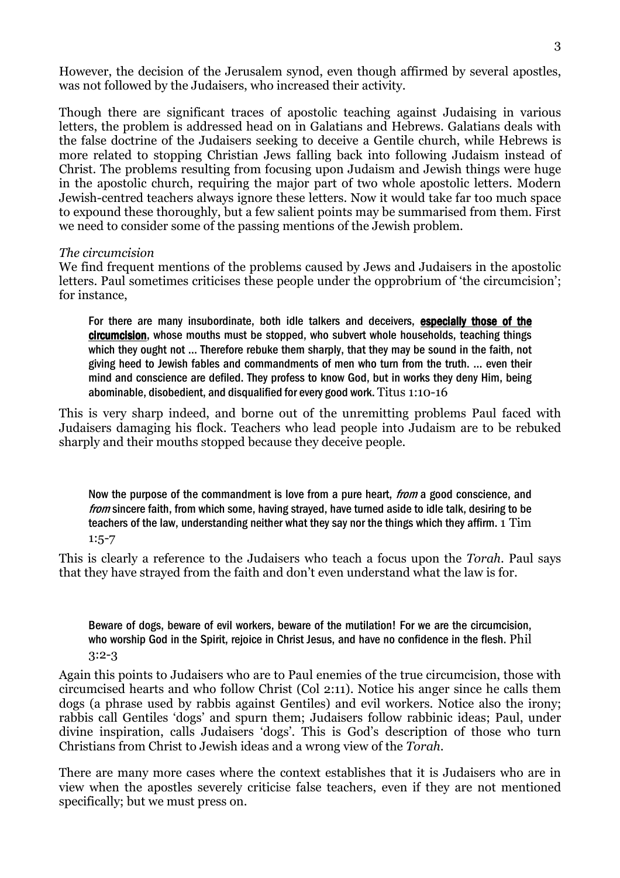However, the decision of the Jerusalem synod, even though affirmed by several apostles, was not followed by the Judaisers, who increased their activity.

Though there are significant traces of apostolic teaching against Judaising in various letters, the problem is addressed head on in Galatians and Hebrews. Galatians deals with the false doctrine of the Judaisers seeking to deceive a Gentile church, while Hebrews is more related to stopping Christian Jews falling back into following Judaism instead of Christ. The problems resulting from focusing upon Judaism and Jewish things were huge in the apostolic church, requiring the major part of two whole apostolic letters. Modern Jewish-centred teachers always ignore these letters. Now it would take far too much space to expound these thoroughly, but a few salient points may be summarised from them. First we need to consider some of the passing mentions of the Jewish problem.

#### The circumcision

We find frequent mentions of the problems caused by Jews and Judaisers in the apostolic letters. Paul sometimes criticises these people under the opprobrium of 'the circumcision'; for instance,

For there are many insubordinate, both idle talkers and deceivers, especially those of the circumcision, whose mouths must be stopped, who subvert whole households, teaching things which they ought not ... Therefore rebuke them sharply, that they may be sound in the faith, not giving heed to Jewish fables and commandments of men who turn from the truth. … even their mind and conscience are defiled. They profess to know God, but in works they deny Him, being abominable, disobedient, and disqualified for every good work. Titus 1:10-16

This is very sharp indeed, and borne out of the unremitting problems Paul faced with Judaisers damaging his flock. Teachers who lead people into Judaism are to be rebuked sharply and their mouths stopped because they deceive people.

Now the purpose of the commandment is love from a pure heart, *from* a good conscience, and from sincere faith, from which some, having strayed, have turned aside to idle talk, desiring to be teachers of the law, understanding neither what they say nor the things which they affirm. 1 Tim 1:5-7

This is clearly a reference to the Judaisers who teach a focus upon the Torah. Paul says that they have strayed from the faith and don't even understand what the law is for.

Beware of dogs, beware of evil workers, beware of the mutilation! For we are the circumcision, who worship God in the Spirit, rejoice in Christ Jesus, and have no confidence in the flesh. Phil 3:2-3

Again this points to Judaisers who are to Paul enemies of the true circumcision, those with circumcised hearts and who follow Christ (Col 2:11). Notice his anger since he calls them dogs (a phrase used by rabbis against Gentiles) and evil workers. Notice also the irony; rabbis call Gentiles 'dogs' and spurn them; Judaisers follow rabbinic ideas; Paul, under divine inspiration, calls Judaisers 'dogs'. This is God's description of those who turn Christians from Christ to Jewish ideas and a wrong view of the Torah.

There are many more cases where the context establishes that it is Judaisers who are in view when the apostles severely criticise false teachers, even if they are not mentioned specifically; but we must press on.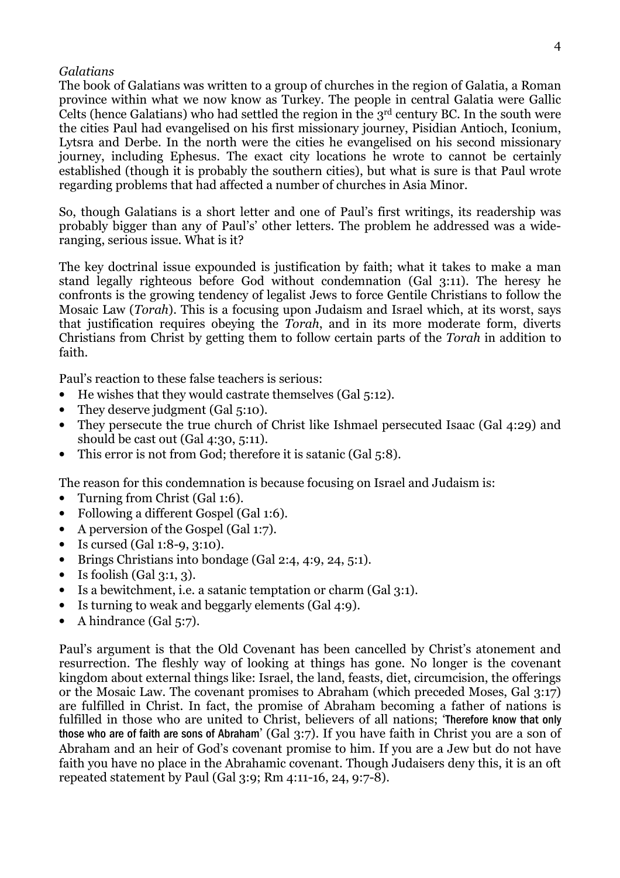#### Galatians

The book of Galatians was written to a group of churches in the region of Galatia, a Roman province within what we now know as Turkey. The people in central Galatia were Gallic Celts (hence Galatians) who had settled the region in the 3rd century BC. In the south were the cities Paul had evangelised on his first missionary journey, Pisidian Antioch, Iconium, Lytsra and Derbe. In the north were the cities he evangelised on his second missionary journey, including Ephesus. The exact city locations he wrote to cannot be certainly established (though it is probably the southern cities), but what is sure is that Paul wrote regarding problems that had affected a number of churches in Asia Minor.

So, though Galatians is a short letter and one of Paul's first writings, its readership was probably bigger than any of Paul's' other letters. The problem he addressed was a wideranging, serious issue. What is it?

The key doctrinal issue expounded is justification by faith; what it takes to make a man stand legally righteous before God without condemnation (Gal 3:11). The heresy he confronts is the growing tendency of legalist Jews to force Gentile Christians to follow the Mosaic Law (Torah). This is a focusing upon Judaism and Israel which, at its worst, says that justification requires obeying the Torah, and in its more moderate form, diverts Christians from Christ by getting them to follow certain parts of the Torah in addition to faith.

Paul's reaction to these false teachers is serious:

- He wishes that they would castrate themselves (Gal 5:12).
- They deserve judgment (Gal 5:10).
- They persecute the true church of Christ like Ishmael persecuted Isaac (Gal 4:29) and should be cast out (Gal 4:30, 5:11).
- This error is not from God; therefore it is satanic (Gal 5:8).

The reason for this condemnation is because focusing on Israel and Judaism is:

- Turning from Christ (Gal 1:6).
- Following a different Gospel (Gal 1:6).
- A perversion of the Gospel (Gal 1:7).
- Is cursed (Gal 1:8-9, 3:10).
- Brings Christians into bondage (Gal 2:4, 4:9, 24, 5:1).
- Is foolish (Gal  $3:1, 3$ ).
- Is a bewitchment, i.e. a satanic temptation or charm (Gal 3:1).
- Is turning to weak and beggarly elements (Gal 4:9).
- A hindrance (Gal 5:7).

Paul's argument is that the Old Covenant has been cancelled by Christ's atonement and resurrection. The fleshly way of looking at things has gone. No longer is the covenant kingdom about external things like: Israel, the land, feasts, diet, circumcision, the offerings or the Mosaic Law. The covenant promises to Abraham (which preceded Moses, Gal 3:17) are fulfilled in Christ. In fact, the promise of Abraham becoming a father of nations is fulfilled in those who are united to Christ, believers of all nations; 'Therefore know that only those who are of faith are sons of Abraham' (Gal 3:7). If you have faith in Christ you are a son of Abraham and an heir of God's covenant promise to him. If you are a Jew but do not have faith you have no place in the Abrahamic covenant. Though Judaisers deny this, it is an oft repeated statement by Paul (Gal 3:9; Rm 4:11-16, 24, 9:7-8).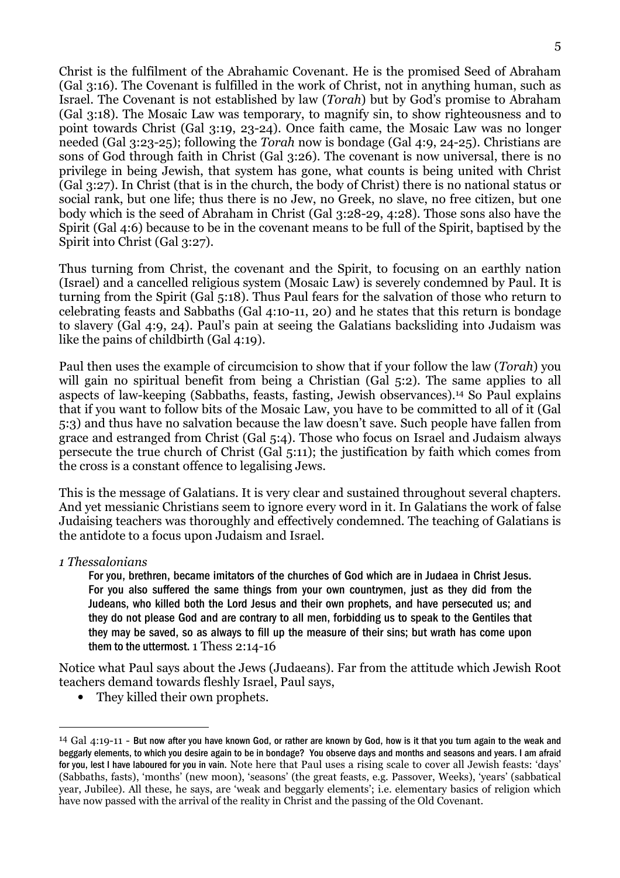Christ is the fulfilment of the Abrahamic Covenant. He is the promised Seed of Abraham (Gal 3:16). The Covenant is fulfilled in the work of Christ, not in anything human, such as Israel. The Covenant is not established by law (Torah) but by God's promise to Abraham (Gal 3:18). The Mosaic Law was temporary, to magnify sin, to show righteousness and to point towards Christ (Gal 3:19, 23-24). Once faith came, the Mosaic Law was no longer needed (Gal 3:23-25); following the Torah now is bondage (Gal 4:9, 24-25). Christians are sons of God through faith in Christ (Gal 3:26). The covenant is now universal, there is no privilege in being Jewish, that system has gone, what counts is being united with Christ (Gal 3:27). In Christ (that is in the church, the body of Christ) there is no national status or social rank, but one life; thus there is no Jew, no Greek, no slave, no free citizen, but one body which is the seed of Abraham in Christ (Gal 3:28-29, 4:28). Those sons also have the Spirit (Gal 4:6) because to be in the covenant means to be full of the Spirit, baptised by the Spirit into Christ (Gal 3:27).

Thus turning from Christ, the covenant and the Spirit, to focusing on an earthly nation (Israel) and a cancelled religious system (Mosaic Law) is severely condemned by Paul. It is turning from the Spirit (Gal 5:18). Thus Paul fears for the salvation of those who return to celebrating feasts and Sabbaths (Gal 4:10-11, 20) and he states that this return is bondage to slavery (Gal 4:9, 24). Paul's pain at seeing the Galatians backsliding into Judaism was like the pains of childbirth (Gal 4:19).

Paul then uses the example of circumcision to show that if your follow the law (Torah) you will gain no spiritual benefit from being a Christian (Gal 5:2). The same applies to all aspects of law-keeping (Sabbaths, feasts, fasting, Jewish observances).14 So Paul explains that if you want to follow bits of the Mosaic Law, you have to be committed to all of it (Gal 5:3) and thus have no salvation because the law doesn't save. Such people have fallen from grace and estranged from Christ (Gal 5:4). Those who focus on Israel and Judaism always persecute the true church of Christ (Gal 5:11); the justification by faith which comes from the cross is a constant offence to legalising Jews.

This is the message of Galatians. It is very clear and sustained throughout several chapters. And yet messianic Christians seem to ignore every word in it. In Galatians the work of false Judaising teachers was thoroughly and effectively condemned. The teaching of Galatians is the antidote to a focus upon Judaism and Israel.

1 Thessalonians

 $\overline{a}$ 

For you, brethren, became imitators of the churches of God which are in Judaea in Christ Jesus. For you also suffered the same things from your own countrymen, just as they did from the Judeans, who killed both the Lord Jesus and their own prophets, and have persecuted us; and they do not please God and are contrary to all men, forbidding us to speak to the Gentiles that they may be saved, so as always to fill up the measure of their sins; but wrath has come upon them to the uttermost. 1 Thess 2:14-16

Notice what Paul says about the Jews (Judaeans). Far from the attitude which Jewish Root teachers demand towards fleshly Israel, Paul says,

• They killed their own prophets.

<sup>14</sup> Gal 4:19-11 - But now after you have known God, or rather are known by God, how is it that you turn again to the weak and beggarly elements, to which you desire again to be in bondage? You observe days and months and seasons and years. I am afraid for you, lest I have laboured for you in vain. Note here that Paul uses a rising scale to cover all Jewish feasts: 'days' (Sabbaths, fasts), 'months' (new moon), 'seasons' (the great feasts, e.g. Passover, Weeks), 'years' (sabbatical year, Jubilee). All these, he says, are 'weak and beggarly elements'; i.e. elementary basics of religion which have now passed with the arrival of the reality in Christ and the passing of the Old Covenant.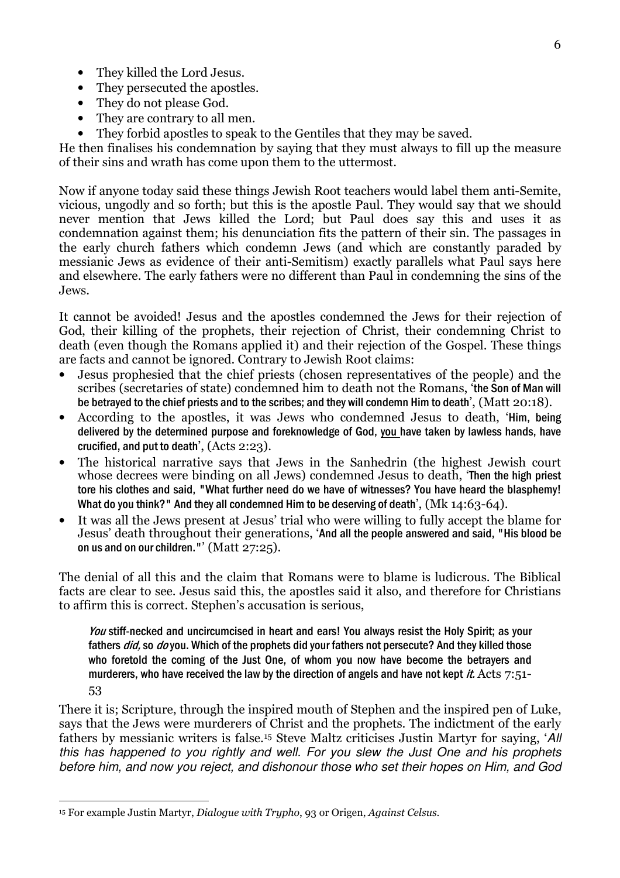- They killed the Lord Jesus.
- They persecuted the apostles.
- They do not please God.
- They are contrary to all men.
- They forbid apostles to speak to the Gentiles that they may be saved.

He then finalises his condemnation by saying that they must always to fill up the measure of their sins and wrath has come upon them to the uttermost.

Now if anyone today said these things Jewish Root teachers would label them anti-Semite, vicious, ungodly and so forth; but this is the apostle Paul. They would say that we should never mention that Jews killed the Lord; but Paul does say this and uses it as condemnation against them; his denunciation fits the pattern of their sin. The passages in the early church fathers which condemn Jews (and which are constantly paraded by messianic Jews as evidence of their anti-Semitism) exactly parallels what Paul says here and elsewhere. The early fathers were no different than Paul in condemning the sins of the Jews.

It cannot be avoided! Jesus and the apostles condemned the Jews for their rejection of God, their killing of the prophets, their rejection of Christ, their condemning Christ to death (even though the Romans applied it) and their rejection of the Gospel. These things are facts and cannot be ignored. Contrary to Jewish Root claims:

- Jesus prophesied that the chief priests (chosen representatives of the people) and the scribes (secretaries of state) condemned him to death not the Romans, 'the Son of Man will be betrayed to the chief priests and to the scribes; and they will condemn Him to death', (Matt 20:18).
- According to the apostles, it was Jews who condemned Jesus to death, 'Him, being delivered by the determined purpose and foreknowledge of God, you have taken by lawless hands, have crucified, and put to death', (Acts 2:23).
- The historical narrative says that Jews in the Sanhedrin (the highest Jewish court whose decrees were binding on all Jews) condemned Jesus to death, 'Then the high priest tore his clothes and said, "What further need do we have of witnesses? You have heard the blasphemy! What do you think?" And they all condemned Him to be deserving of death', (Mk 14:63-64).
- It was all the Jews present at Jesus' trial who were willing to fully accept the blame for Jesus' death throughout their generations, 'And all the people answered and said, "His blood be on us and on our children."' (Matt 27:25).

The denial of all this and the claim that Romans were to blame is ludicrous. The Biblical facts are clear to see. Jesus said this, the apostles said it also, and therefore for Christians to affirm this is correct. Stephen's accusation is serious,

You stiff-necked and uncircumcised in heart and ears! You always resist the Holy Spirit; as your fathers *did*, so *do* you. Which of the prophets did your fathers not persecute? And they killed those who foretold the coming of the Just One, of whom you now have become the betrayers and murderers, who have received the law by the direction of angels and have not kept it. Acts  $7:51-$ 53

There it is; Scripture, through the inspired mouth of Stephen and the inspired pen of Luke, says that the Jews were murderers of Christ and the prophets. The indictment of the early fathers by messianic writers is false.15 Steve Maltz criticises Justin Martyr for saying, 'All this has happened to you rightly and well. For you slew the Just One and his prophets before him, and now you reject, and dishonour those who set their hopes on Him, and God

I 15 For example Justin Martyr, Dialogue with Trypho, 93 or Origen, Against Celsus.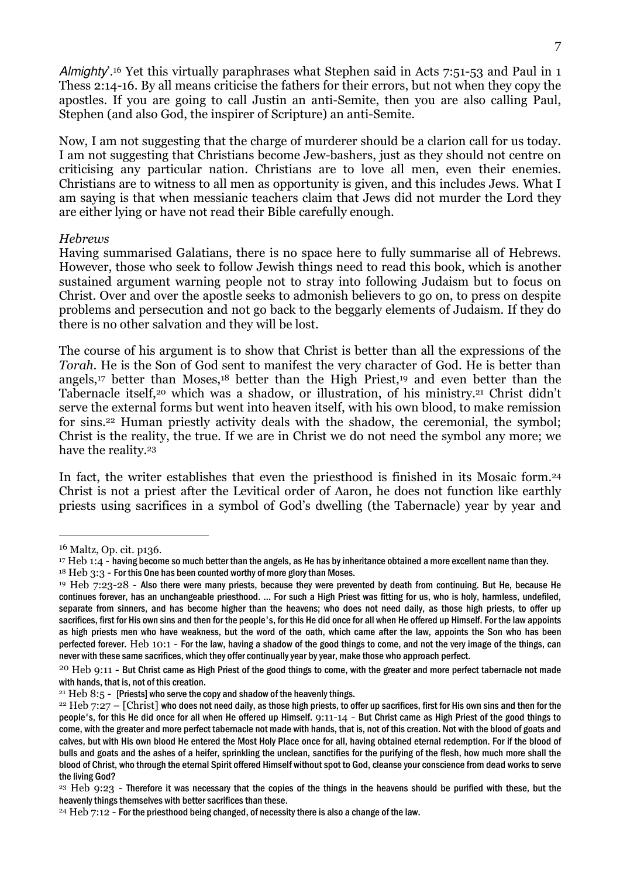Almighty'.<sup>16</sup> Yet this virtually paraphrases what Stephen said in Acts 7:51-53 and Paul in 1 Thess 2:14-16. By all means criticise the fathers for their errors, but not when they copy the apostles. If you are going to call Justin an anti-Semite, then you are also calling Paul, Stephen (and also God, the inspirer of Scripture) an anti-Semite.

Now, I am not suggesting that the charge of murderer should be a clarion call for us today. I am not suggesting that Christians become Jew-bashers, just as they should not centre on criticising any particular nation. Christians are to love all men, even their enemies. Christians are to witness to all men as opportunity is given, and this includes Jews. What I am saying is that when messianic teachers claim that Jews did not murder the Lord they are either lying or have not read their Bible carefully enough.

#### Hebrews

Having summarised Galatians, there is no space here to fully summarise all of Hebrews. However, those who seek to follow Jewish things need to read this book, which is another sustained argument warning people not to stray into following Judaism but to focus on Christ. Over and over the apostle seeks to admonish believers to go on, to press on despite problems and persecution and not go back to the beggarly elements of Judaism. If they do there is no other salvation and they will be lost.

The course of his argument is to show that Christ is better than all the expressions of the Torah. He is the Son of God sent to manifest the very character of God. He is better than angels,17 better than Moses,18 better than the High Priest,19 and even better than the Tabernacle itself,20 which was a shadow, or illustration, of his ministry.21 Christ didn't serve the external forms but went into heaven itself, with his own blood, to make remission for sins.22 Human priestly activity deals with the shadow, the ceremonial, the symbol; Christ is the reality, the true. If we are in Christ we do not need the symbol any more; we have the reality.<sup>23</sup>

In fact, the writer establishes that even the priesthood is finished in its Mosaic form.<sup>24</sup> Christ is not a priest after the Levitical order of Aaron, he does not function like earthly priests using sacrifices in a symbol of God's dwelling (the Tabernacle) year by year and

I

<sup>16</sup> Maltz, Op. cit. p136.

 $17$  Heb 1:4 - having become so much better than the angels, as He has by inheritance obtained a more excellent name than they.

 $18$  Heb 3:3 - For this One has been counted worthy of more glory than Moses.

<sup>19</sup> Heb 7:23-28 - Also there were many priests, because they were prevented by death from continuing. But He, because He continues forever, has an unchangeable priesthood. … For such a High Priest was fitting for us, who is holy, harmless, undefiled, separate from sinners, and has become higher than the heavens; who does not need daily, as those high priests, to offer up sacrifices, first for His own sins and then for the people's, for this He did once for all when He offered up Himself. For the law appoints as high priests men who have weakness, but the word of the oath, which came after the law, appoints the Son who has been perfected forever. Heb 10:1 - For the law, having a shadow of the good things to come, and not the very image of the things, can never with these same sacrifices, which they offer continually year by year, make those who approach perfect.

 $20$  Heb 9:11 - But Christ came as High Priest of the good things to come, with the greater and more perfect tabernacle not made with hands, that is, not of this creation.

<sup>&</sup>lt;sup>21</sup> Heb 8:5 - [Priests] who serve the copy and shadow of the heavenly things.

 $22$  Heb  $7:27$  – [Christ] who does not need daily, as those high priests, to offer up sacrifices, first for His own sins and then for the people's, for this He did once for all when He offered up Himself. 9:11-14 - But Christ came as High Priest of the good things to come, with the greater and more perfect tabernacle not made with hands, that is, not of this creation. Not with the blood of goats and calves, but with His own blood He entered the Most Holy Place once for all, having obtained eternal redemption. For if the blood of bulls and goats and the ashes of a heifer, sprinkling the unclean, sanctifies for the purifying of the flesh, how much more shall the blood of Christ, who through the eternal Spirit offered Himself without spot to God, cleanse your conscience from dead works to serve the living God?

<sup>&</sup>lt;sup>23</sup> Heb 9:23 - Therefore it was necessary that the copies of the things in the heavens should be purified with these, but the heavenly things themselves with better sacrifices than these.

<sup>&</sup>lt;sup>24</sup> Heb 7:12 - For the priesthood being changed, of necessity there is also a change of the law.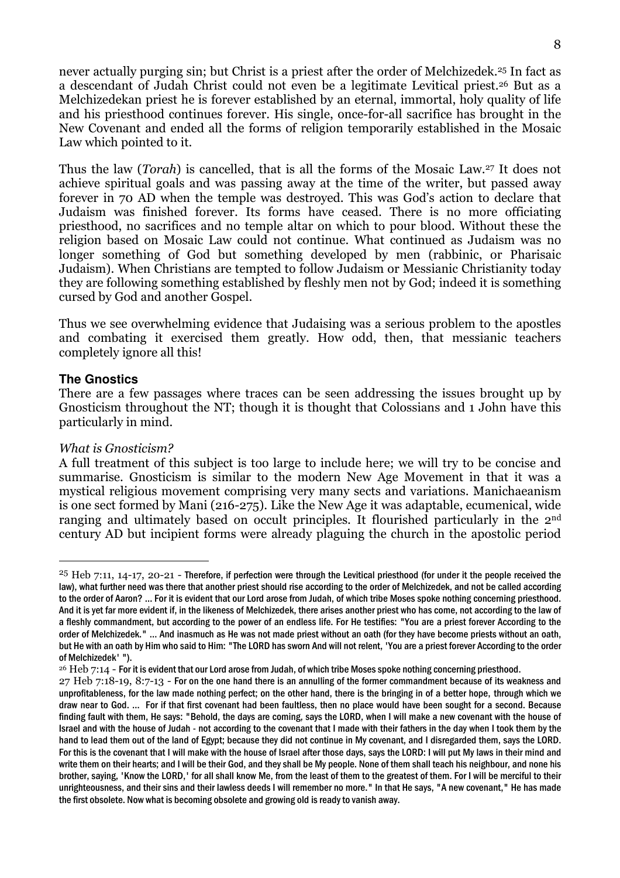never actually purging sin; but Christ is a priest after the order of Melchizedek.25 In fact as a descendant of Judah Christ could not even be a legitimate Levitical priest.26 But as a Melchizedekan priest he is forever established by an eternal, immortal, holy quality of life and his priesthood continues forever. His single, once-for-all sacrifice has brought in the New Covenant and ended all the forms of religion temporarily established in the Mosaic Law which pointed to it.

Thus the law (Torah) is cancelled, that is all the forms of the Mosaic Law.27 It does not achieve spiritual goals and was passing away at the time of the writer, but passed away forever in 70 AD when the temple was destroyed. This was God's action to declare that Judaism was finished forever. Its forms have ceased. There is no more officiating priesthood, no sacrifices and no temple altar on which to pour blood. Without these the religion based on Mosaic Law could not continue. What continued as Judaism was no longer something of God but something developed by men (rabbinic, or Pharisaic Judaism). When Christians are tempted to follow Judaism or Messianic Christianity today they are following something established by fleshly men not by God; indeed it is something cursed by God and another Gospel.

Thus we see overwhelming evidence that Judaising was a serious problem to the apostles and combating it exercised them greatly. How odd, then, that messianic teachers completely ignore all this!

#### **The Gnostics**

 $\overline{a}$ 

There are a few passages where traces can be seen addressing the issues brought up by Gnosticism throughout the NT; though it is thought that Colossians and 1 John have this particularly in mind.

#### What is Gnosticism?

A full treatment of this subject is too large to include here; we will try to be concise and summarise. Gnosticism is similar to the modern New Age Movement in that it was a mystical religious movement comprising very many sects and variations. Manichaeanism is one sect formed by Mani (216-275). Like the New Age it was adaptable, ecumenical, wide ranging and ultimately based on occult principles. It flourished particularly in the 2nd century AD but incipient forms were already plaguing the church in the apostolic period

<sup>25</sup> Heb 7:11, 14-17, 20-21 - Therefore, if perfection were through the Levitical priesthood (for under it the people received the law), what further need was there that another priest should rise according to the order of Melchizedek, and not be called according to the order of Aaron? … For it is evident that our Lord arose from Judah, of which tribe Moses spoke nothing concerning priesthood. And it is yet far more evident if, in the likeness of Melchizedek, there arises another priest who has come, not according to the law of a fleshly commandment, but according to the power of an endless life. For He testifies: "You are a priest forever According to the order of Melchizedek." … And inasmuch as He was not made priest without an oath (for they have become priests without an oath, but He with an oath by Him who said to Him: "The LORD has sworn And will not relent, 'You are a priest forever According to the order of Melchizedek' ").

<sup>&</sup>lt;sup>26</sup> Heb 7:14 - For it is evident that our Lord arose from Judah, of which tribe Moses spoke nothing concerning priesthood.

 $27$  Heb  $7:18-19$ ,  $8:7-13$  - For on the one hand there is an annulling of the former commandment because of its weakness and unprofitableness, for the law made nothing perfect; on the other hand, there is the bringing in of a better hope, through which we draw near to God. … For if that first covenant had been faultless, then no place would have been sought for a second. Because finding fault with them, He says: "Behold, the days are coming, says the LORD, when I will make a new covenant with the house of Israel and with the house of Judah - not according to the covenant that I made with their fathers in the day when I took them by the hand to lead them out of the land of Egypt; because they did not continue in My covenant, and I disregarded them, says the LORD. For this is the covenant that I will make with the house of Israel after those days, says the LORD: I will put My laws in their mind and write them on their hearts; and I will be their God, and they shall be My people. None of them shall teach his neighbour, and none his brother, saying, 'Know the LORD,' for all shall know Me, from the least of them to the greatest of them. For I will be merciful to their unrighteousness, and their sins and their lawless deeds I will remember no more." In that He says, "A new covenant," He has made the first obsolete. Now what is becoming obsolete and growing old is ready to vanish away.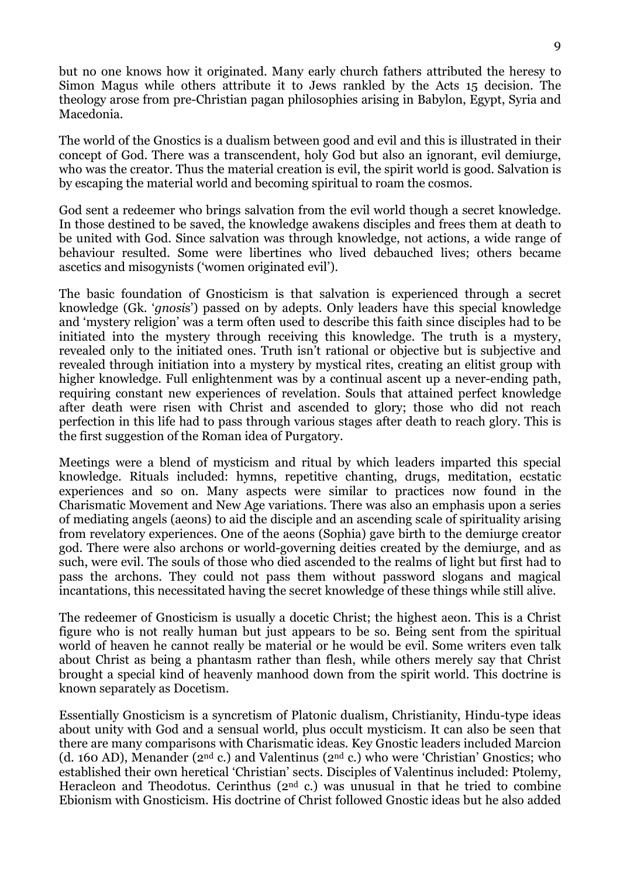but no one knows how it originated. Many early church fathers attributed the heresy to Simon Magus while others attribute it to Jews rankled by the Acts 15 decision. The theology arose from pre-Christian pagan philosophies arising in Babylon, Egypt, Syria and Macedonia.

The world of the Gnostics is a dualism between good and evil and this is illustrated in their concept of God. There was a transcendent, holy God but also an ignorant, evil demiurge, who was the creator. Thus the material creation is evil, the spirit world is good. Salvation is by escaping the material world and becoming spiritual to roam the cosmos.

God sent a redeemer who brings salvation from the evil world though a secret knowledge. In those destined to be saved, the knowledge awakens disciples and frees them at death to be united with God. Since salvation was through knowledge, not actions, a wide range of behaviour resulted. Some were libertines who lived debauched lives; others became ascetics and misogynists ('women originated evil').

The basic foundation of Gnosticism is that salvation is experienced through a secret knowledge (Gk. 'gnosis') passed on by adepts. Only leaders have this special knowledge and 'mystery religion' was a term often used to describe this faith since disciples had to be initiated into the mystery through receiving this knowledge. The truth is a mystery, revealed only to the initiated ones. Truth isn't rational or objective but is subjective and revealed through initiation into a mystery by mystical rites, creating an elitist group with higher knowledge. Full enlightenment was by a continual ascent up a never-ending path, requiring constant new experiences of revelation. Souls that attained perfect knowledge after death were risen with Christ and ascended to glory; those who did not reach perfection in this life had to pass through various stages after death to reach glory. This is the first suggestion of the Roman idea of Purgatory.

Meetings were a blend of mysticism and ritual by which leaders imparted this special knowledge. Rituals included: hymns, repetitive chanting, drugs, meditation, ecstatic experiences and so on. Many aspects were similar to practices now found in the Charismatic Movement and New Age variations. There was also an emphasis upon a series of mediating angels (aeons) to aid the disciple and an ascending scale of spirituality arising from revelatory experiences. One of the aeons (Sophia) gave birth to the demiurge creator god. There were also archons or world-governing deities created by the demiurge, and as such, were evil. The souls of those who died ascended to the realms of light but first had to pass the archons. They could not pass them without password slogans and magical incantations, this necessitated having the secret knowledge of these things while still alive.

The redeemer of Gnosticism is usually a docetic Christ; the highest aeon. This is a Christ figure who is not really human but just appears to be so. Being sent from the spiritual world of heaven he cannot really be material or he would be evil. Some writers even talk about Christ as being a phantasm rather than flesh, while others merely say that Christ brought a special kind of heavenly manhood down from the spirit world. This doctrine is known separately as Docetism.

Essentially Gnosticism is a syncretism of Platonic dualism, Christianity, Hindu-type ideas about unity with God and a sensual world, plus occult mysticism. It can also be seen that there are many comparisons with Charismatic ideas. Key Gnostic leaders included Marcion (d. 160 AD), Menander ( $2<sup>nd</sup>$  c.) and Valentinus ( $2<sup>nd</sup>$  c.) who were 'Christian' Gnostics; who established their own heretical 'Christian' sects. Disciples of Valentinus included: Ptolemy, Heracleon and Theodotus. Cerinthus (2<sup>nd</sup> c.) was unusual in that he tried to combine Ebionism with Gnosticism. His doctrine of Christ followed Gnostic ideas but he also added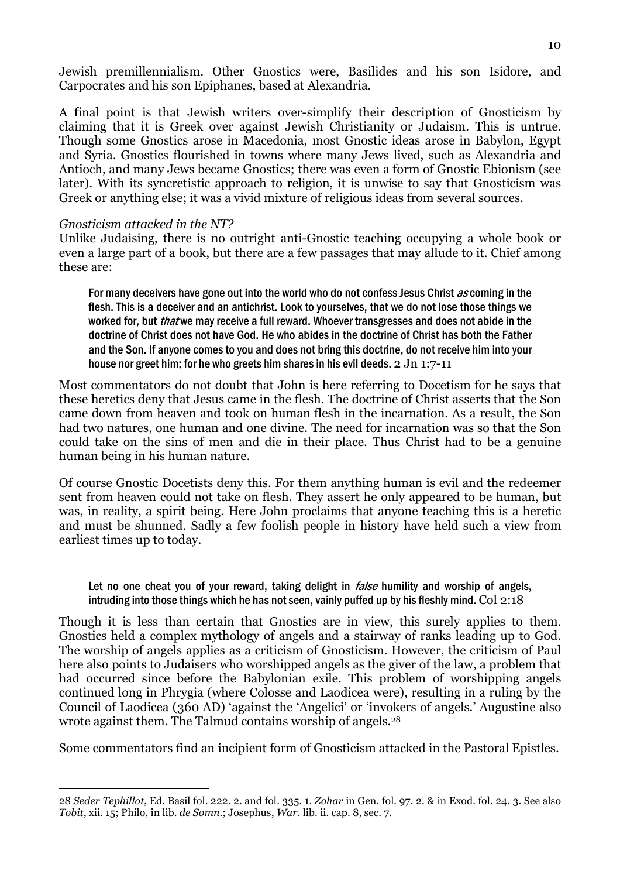Jewish premillennialism. Other Gnostics were, Basilides and his son Isidore, and Carpocrates and his son Epiphanes, based at Alexandria.

A final point is that Jewish writers over-simplify their description of Gnosticism by claiming that it is Greek over against Jewish Christianity or Judaism. This is untrue. Though some Gnostics arose in Macedonia, most Gnostic ideas arose in Babylon, Egypt and Syria. Gnostics flourished in towns where many Jews lived, such as Alexandria and Antioch, and many Jews became Gnostics; there was even a form of Gnostic Ebionism (see later). With its syncretistic approach to religion, it is unwise to say that Gnosticism was Greek or anything else; it was a vivid mixture of religious ideas from several sources.

#### Gnosticism attacked in the NT?

 $\overline{a}$ 

Unlike Judaising, there is no outright anti-Gnostic teaching occupying a whole book or even a large part of a book, but there are a few passages that may allude to it. Chief among these are:

For many deceivers have gone out into the world who do not confess Jesus Christ as coming in the flesh. This is a deceiver and an antichrist. Look to yourselves, that we do not lose those things we worked for, but *that* we may receive a full reward. Whoever transgresses and does not abide in the doctrine of Christ does not have God. He who abides in the doctrine of Christ has both the Father and the Son. If anyone comes to you and does not bring this doctrine, do not receive him into your house nor greet him; for he who greets him shares in his evil deeds. 2 Jn 1:7-11

Most commentators do not doubt that John is here referring to Docetism for he says that these heretics deny that Jesus came in the flesh. The doctrine of Christ asserts that the Son came down from heaven and took on human flesh in the incarnation. As a result, the Son had two natures, one human and one divine. The need for incarnation was so that the Son could take on the sins of men and die in their place. Thus Christ had to be a genuine human being in his human nature.

Of course Gnostic Docetists deny this. For them anything human is evil and the redeemer sent from heaven could not take on flesh. They assert he only appeared to be human, but was, in reality, a spirit being. Here John proclaims that anyone teaching this is a heretic and must be shunned. Sadly a few foolish people in history have held such a view from earliest times up to today.

Let no one cheat you of your reward, taking delight in *false* humility and worship of angels, intruding into those things which he has not seen, vainly puffed up by his fleshly mind. Col  $2:18$ 

Though it is less than certain that Gnostics are in view, this surely applies to them. Gnostics held a complex mythology of angels and a stairway of ranks leading up to God. The worship of angels applies as a criticism of Gnosticism. However, the criticism of Paul here also points to Judaisers who worshipped angels as the giver of the law, a problem that had occurred since before the Babylonian exile. This problem of worshipping angels continued long in Phrygia (where Colosse and Laodicea were), resulting in a ruling by the Council of Laodicea (360 AD) 'against the 'Angelici' or 'invokers of angels.' Augustine also wrote against them. The Talmud contains worship of angels.<sup>28</sup>

Some commentators find an incipient form of Gnosticism attacked in the Pastoral Epistles.

<sup>28</sup> Seder Tephillot, Ed. Basil fol. 222. 2. and fol. 335. 1. Zohar in Gen. fol. 97. 2. & in Exod. fol. 24. 3. See also Tobit, xii. 15; Philo, in lib. de Somn.; Josephus, War. lib. ii. cap. 8, sec. 7.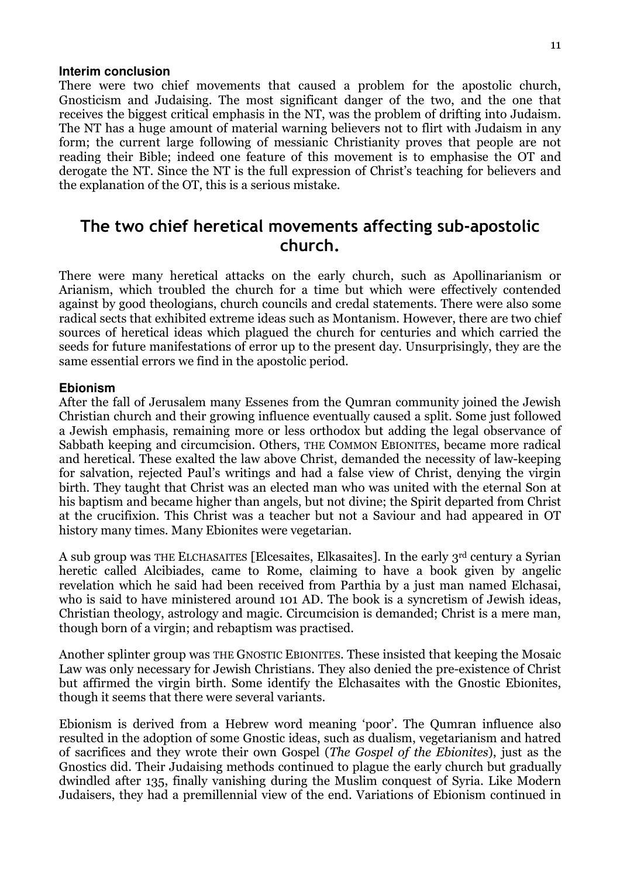#### **Interim conclusion**

There were two chief movements that caused a problem for the apostolic church, Gnosticism and Judaising. The most significant danger of the two, and the one that receives the biggest critical emphasis in the NT, was the problem of drifting into Judaism. The NT has a huge amount of material warning believers not to flirt with Judaism in any form; the current large following of messianic Christianity proves that people are not reading their Bible; indeed one feature of this movement is to emphasise the OT and derogate the NT. Since the NT is the full expression of Christ's teaching for believers and the explanation of the OT, this is a serious mistake.

# The two chief heretical movements affecting sub-apostolic church.

There were many heretical attacks on the early church, such as Apollinarianism or Arianism, which troubled the church for a time but which were effectively contended against by good theologians, church councils and credal statements. There were also some radical sects that exhibited extreme ideas such as Montanism. However, there are two chief sources of heretical ideas which plagued the church for centuries and which carried the seeds for future manifestations of error up to the present day. Unsurprisingly, they are the same essential errors we find in the apostolic period.

#### **Ebionism**

After the fall of Jerusalem many Essenes from the Qumran community joined the Jewish Christian church and their growing influence eventually caused a split. Some just followed a Jewish emphasis, remaining more or less orthodox but adding the legal observance of Sabbath keeping and circumcision. Others, THE COMMON EBIONITES, became more radical and heretical. These exalted the law above Christ, demanded the necessity of law-keeping for salvation, rejected Paul's writings and had a false view of Christ, denying the virgin birth. They taught that Christ was an elected man who was united with the eternal Son at his baptism and became higher than angels, but not divine; the Spirit departed from Christ at the crucifixion. This Christ was a teacher but not a Saviour and had appeared in OT history many times. Many Ebionites were vegetarian.

A sub group was THE ELCHASAITES [Elcesaites, Elkasaites]. In the early 3rd century a Syrian heretic called Alcibiades, came to Rome, claiming to have a book given by angelic revelation which he said had been received from Parthia by a just man named Elchasai, who is said to have ministered around 101 AD. The book is a syncretism of Jewish ideas, Christian theology, astrology and magic. Circumcision is demanded; Christ is a mere man, though born of a virgin; and rebaptism was practised.

Another splinter group was THE GNOSTIC EBIONITES. These insisted that keeping the Mosaic Law was only necessary for Jewish Christians. They also denied the pre-existence of Christ but affirmed the virgin birth. Some identify the Elchasaites with the Gnostic Ebionites, though it seems that there were several variants.

Ebionism is derived from a Hebrew word meaning 'poor'. The Qumran influence also resulted in the adoption of some Gnostic ideas, such as dualism, vegetarianism and hatred of sacrifices and they wrote their own Gospel (The Gospel of the Ebionites), just as the Gnostics did. Their Judaising methods continued to plague the early church but gradually dwindled after 135, finally vanishing during the Muslim conquest of Syria. Like Modern Judaisers, they had a premillennial view of the end. Variations of Ebionism continued in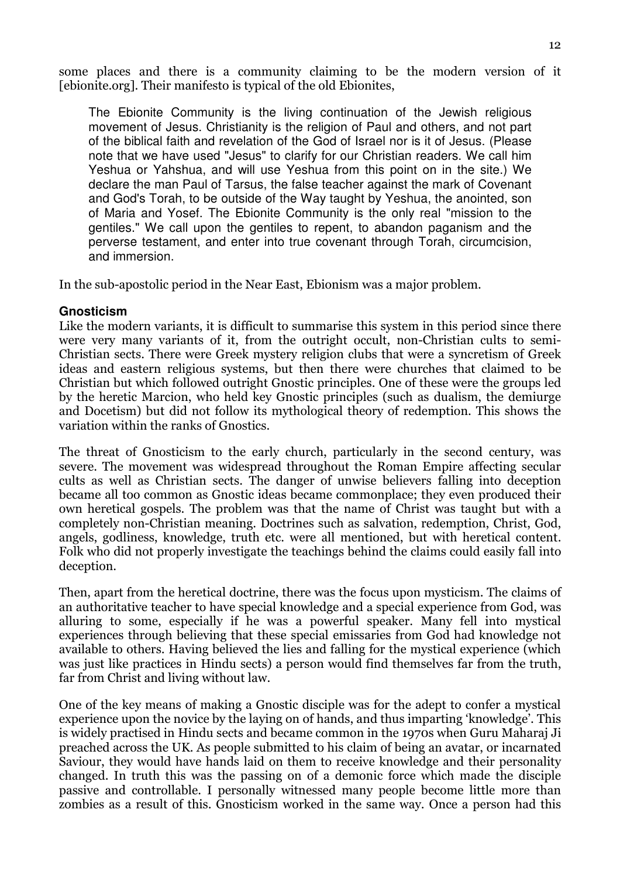some places and there is a community claiming to be the modern version of it [ebionite.org]. Their manifesto is typical of the old Ebionites,

The Ebionite Community is the living continuation of the Jewish religious movement of Jesus. Christianity is the religion of Paul and others, and not part of the biblical faith and revelation of the God of Israel nor is it of Jesus. (Please note that we have used "Jesus" to clarify for our Christian readers. We call him Yeshua or Yahshua, and will use Yeshua from this point on in the site.) We declare the man Paul of Tarsus, the false teacher against the mark of Covenant and God's Torah, to be outside of the Way taught by Yeshua, the anointed, son of Maria and Yosef. The Ebionite Community is the only real "mission to the gentiles." We call upon the gentiles to repent, to abandon paganism and the perverse testament, and enter into true covenant through Torah, circumcision, and immersion.

In the sub-apostolic period in the Near East, Ebionism was a major problem.

#### **Gnosticism**

Like the modern variants, it is difficult to summarise this system in this period since there were very many variants of it, from the outright occult, non-Christian cults to semi-Christian sects. There were Greek mystery religion clubs that were a syncretism of Greek ideas and eastern religious systems, but then there were churches that claimed to be Christian but which followed outright Gnostic principles. One of these were the groups led by the heretic Marcion, who held key Gnostic principles (such as dualism, the demiurge and Docetism) but did not follow its mythological theory of redemption. This shows the variation within the ranks of Gnostics.

The threat of Gnosticism to the early church, particularly in the second century, was severe. The movement was widespread throughout the Roman Empire affecting secular cults as well as Christian sects. The danger of unwise believers falling into deception became all too common as Gnostic ideas became commonplace; they even produced their own heretical gospels. The problem was that the name of Christ was taught but with a completely non-Christian meaning. Doctrines such as salvation, redemption, Christ, God, angels, godliness, knowledge, truth etc. were all mentioned, but with heretical content. Folk who did not properly investigate the teachings behind the claims could easily fall into deception.

Then, apart from the heretical doctrine, there was the focus upon mysticism. The claims of an authoritative teacher to have special knowledge and a special experience from God, was alluring to some, especially if he was a powerful speaker. Many fell into mystical experiences through believing that these special emissaries from God had knowledge not available to others. Having believed the lies and falling for the mystical experience (which was just like practices in Hindu sects) a person would find themselves far from the truth, far from Christ and living without law.

One of the key means of making a Gnostic disciple was for the adept to confer a mystical experience upon the novice by the laying on of hands, and thus imparting 'knowledge'. This is widely practised in Hindu sects and became common in the 1970s when Guru Maharaj Ji preached across the UK. As people submitted to his claim of being an avatar, or incarnated Saviour, they would have hands laid on them to receive knowledge and their personality changed. In truth this was the passing on of a demonic force which made the disciple passive and controllable. I personally witnessed many people become little more than zombies as a result of this. Gnosticism worked in the same way. Once a person had this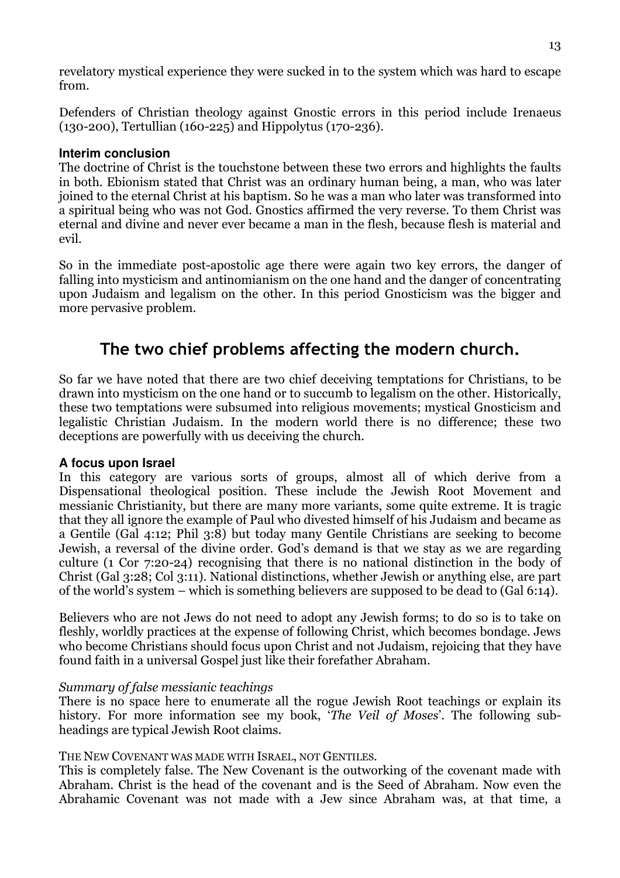revelatory mystical experience they were sucked in to the system which was hard to escape from.

Defenders of Christian theology against Gnostic errors in this period include Irenaeus (130-200), Tertullian (160-225) and Hippolytus (170-236).

#### **Interim conclusion**

The doctrine of Christ is the touchstone between these two errors and highlights the faults in both. Ebionism stated that Christ was an ordinary human being, a man, who was later joined to the eternal Christ at his baptism. So he was a man who later was transformed into a spiritual being who was not God. Gnostics affirmed the very reverse. To them Christ was eternal and divine and never ever became a man in the flesh, because flesh is material and evil.

So in the immediate post-apostolic age there were again two key errors, the danger of falling into mysticism and antinomianism on the one hand and the danger of concentrating upon Judaism and legalism on the other. In this period Gnosticism was the bigger and more pervasive problem.

# The two chief problems affecting the modern church.

So far we have noted that there are two chief deceiving temptations for Christians, to be drawn into mysticism on the one hand or to succumb to legalism on the other. Historically, these two temptations were subsumed into religious movements; mystical Gnosticism and legalistic Christian Judaism. In the modern world there is no difference; these two deceptions are powerfully with us deceiving the church.

#### **A focus upon Israel**

In this category are various sorts of groups, almost all of which derive from a Dispensational theological position. These include the Jewish Root Movement and messianic Christianity, but there are many more variants, some quite extreme. It is tragic that they all ignore the example of Paul who divested himself of his Judaism and became as a Gentile (Gal 4:12; Phil 3:8) but today many Gentile Christians are seeking to become Jewish, a reversal of the divine order. God's demand is that we stay as we are regarding culture (1 Cor 7:20-24) recognising that there is no national distinction in the body of Christ (Gal 3:28; Col 3:11). National distinctions, whether Jewish or anything else, are part of the world's system – which is something believers are supposed to be dead to (Gal 6:14).

Believers who are not Jews do not need to adopt any Jewish forms; to do so is to take on fleshly, worldly practices at the expense of following Christ, which becomes bondage. Jews who become Christians should focus upon Christ and not Judaism, rejoicing that they have found faith in a universal Gospel just like their forefather Abraham.

#### Summary of false messianic teachings

There is no space here to enumerate all the rogue Jewish Root teachings or explain its history. For more information see my book, 'The Veil of Moses'. The following subheadings are typical Jewish Root claims.

#### THE NEW COVENANT WAS MADE WITH ISRAEL, NOT GENTILES.

This is completely false. The New Covenant is the outworking of the covenant made with Abraham. Christ is the head of the covenant and is the Seed of Abraham. Now even the Abrahamic Covenant was not made with a Jew since Abraham was, at that time, a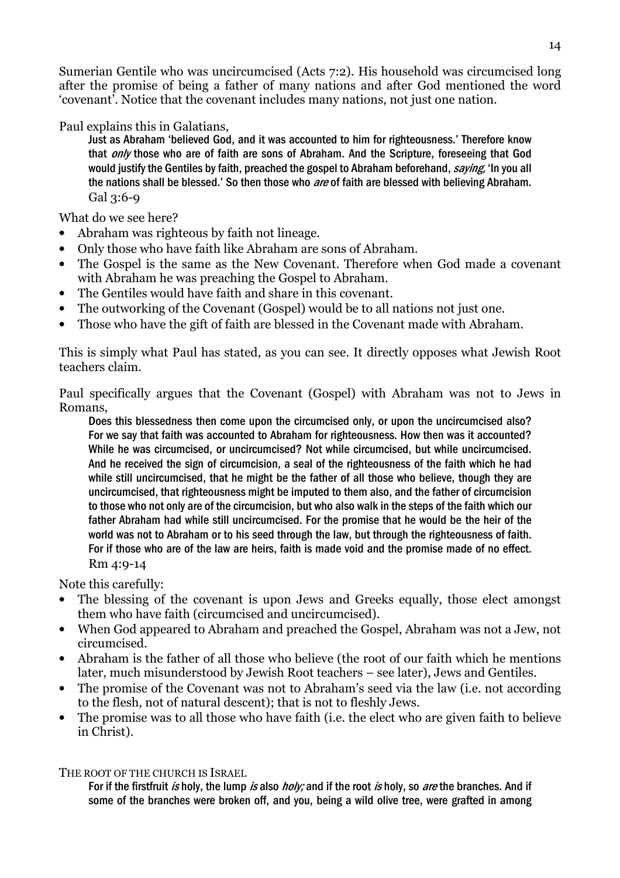Sumerian Gentile who was uncircumcised (Acts 7:2). His household was circumcised long after the promise of being a father of many nations and after God mentioned the word 'covenant'. Notice that the covenant includes many nations, not just one nation.

Paul explains this in Galatians,

Just as Abraham 'believed God, and it was accounted to him for righteousness.' Therefore know that *only* those who are of faith are sons of Abraham. And the Scripture, foreseeing that God would justify the Gentiles by faith, preached the gospel to Abraham beforehand, *saying*, 'In you all the nations shall be blessed.' So then those who *are* of faith are blessed with believing Abraham. Gal 3:6-9

What do we see here?

- Abraham was righteous by faith not lineage.
- Only those who have faith like Abraham are sons of Abraham.
- The Gospel is the same as the New Covenant. Therefore when God made a covenant with Abraham he was preaching the Gospel to Abraham.
- The Gentiles would have faith and share in this covenant.
- The outworking of the Covenant (Gospel) would be to all nations not just one.
- Those who have the gift of faith are blessed in the Covenant made with Abraham.

This is simply what Paul has stated, as you can see. It directly opposes what Jewish Root teachers claim.

Paul specifically argues that the Covenant (Gospel) with Abraham was not to Jews in Romans,

Does this blessedness then come upon the circumcised only, or upon the uncircumcised also? For we say that faith was accounted to Abraham for righteousness. How then was it accounted? While he was circumcised, or uncircumcised? Not while circumcised, but while uncircumcised. And he received the sign of circumcision, a seal of the righteousness of the faith which he had while still uncircumcised, that he might be the father of all those who believe, though they are uncircumcised, that righteousness might be imputed to them also, and the father of circumcision to those who not only are of the circumcision, but who also walk in the steps of the faith which our father Abraham had while still uncircumcised. For the promise that he would be the heir of the world was not to Abraham or to his seed through the law, but through the righteousness of faith. For if those who are of the law are heirs, faith is made void and the promise made of no effect. Rm 4:9-14

Note this carefully:

- The blessing of the covenant is upon Jews and Greeks equally, those elect amongst them who have faith (circumcised and uncircumcised).
- When God appeared to Abraham and preached the Gospel, Abraham was not a Jew, not circumcised.
- Abraham is the father of all those who believe (the root of our faith which he mentions later, much misunderstood by Jewish Root teachers – see later), Jews and Gentiles.
- The promise of the Covenant was not to Abraham's seed via the law (i.e. not according to the flesh, not of natural descent); that is not to fleshly Jews.
- The promise was to all those who have faith (i.e. the elect who are given faith to believe in Christ).

THE ROOT OF THE CHURCH IS ISRAEL

For if the firstfruit is holy, the lump is also holy; and if the root is holy, so are the branches. And if some of the branches were broken off, and you, being a wild olive tree, were grafted in among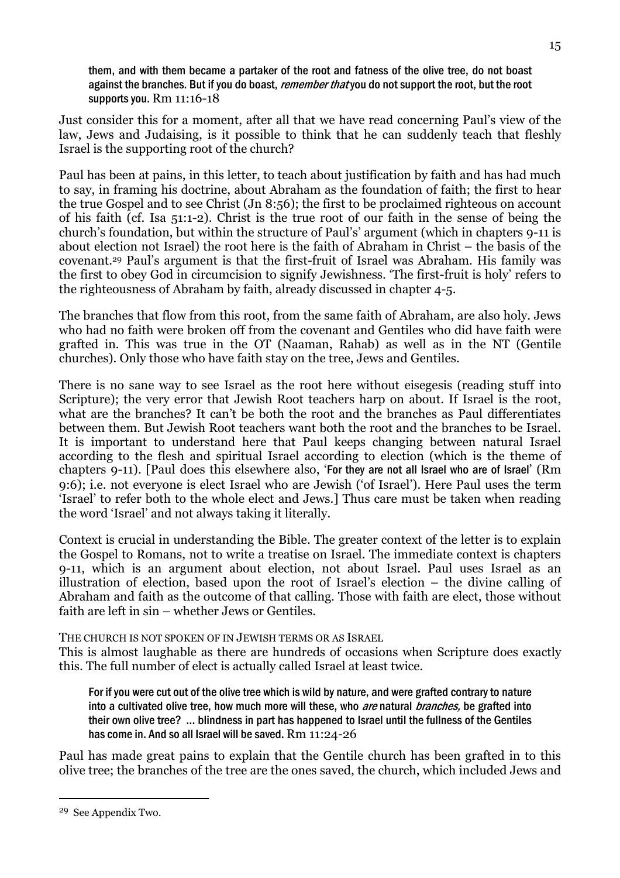them, and with them became a partaker of the root and fatness of the olive tree, do not boast against the branches. But if you do boast, *remember that* you do not support the root, but the root supports you. Rm 11:16-18

Just consider this for a moment, after all that we have read concerning Paul's view of the law, Jews and Judaising, is it possible to think that he can suddenly teach that fleshly Israel is the supporting root of the church?

Paul has been at pains, in this letter, to teach about justification by faith and has had much to say, in framing his doctrine, about Abraham as the foundation of faith; the first to hear the true Gospel and to see Christ (Jn 8:56); the first to be proclaimed righteous on account of his faith (cf. Isa 51:1-2). Christ is the true root of our faith in the sense of being the church's foundation, but within the structure of Paul's' argument (which in chapters 9-11 is about election not Israel) the root here is the faith of Abraham in Christ – the basis of the covenant.29 Paul's argument is that the first-fruit of Israel was Abraham. His family was the first to obey God in circumcision to signify Jewishness. 'The first-fruit is holy' refers to the righteousness of Abraham by faith, already discussed in chapter 4-5.

The branches that flow from this root, from the same faith of Abraham, are also holy. Jews who had no faith were broken off from the covenant and Gentiles who did have faith were grafted in. This was true in the OT (Naaman, Rahab) as well as in the NT (Gentile churches). Only those who have faith stay on the tree, Jews and Gentiles.

There is no sane way to see Israel as the root here without eisegesis (reading stuff into Scripture); the very error that Jewish Root teachers harp on about. If Israel is the root, what are the branches? It can't be both the root and the branches as Paul differentiates between them. But Jewish Root teachers want both the root and the branches to be Israel. It is important to understand here that Paul keeps changing between natural Israel according to the flesh and spiritual Israel according to election (which is the theme of chapters 9-11). [Paul does this elsewhere also, 'For they are not all Israel who are of Israel' (Rm 9:6); i.e. not everyone is elect Israel who are Jewish ('of Israel'). Here Paul uses the term 'Israel' to refer both to the whole elect and Jews.] Thus care must be taken when reading the word 'Israel' and not always taking it literally.

Context is crucial in understanding the Bible. The greater context of the letter is to explain the Gospel to Romans, not to write a treatise on Israel. The immediate context is chapters 9-11, which is an argument about election, not about Israel. Paul uses Israel as an illustration of election, based upon the root of Israel's election – the divine calling of Abraham and faith as the outcome of that calling. Those with faith are elect, those without faith are left in sin – whether Jews or Gentiles.

THE CHURCH IS NOT SPOKEN OF IN JEWISH TERMS OR AS ISRAEL

This is almost laughable as there are hundreds of occasions when Scripture does exactly this. The full number of elect is actually called Israel at least twice.

For if you were cut out of the olive tree which is wild by nature, and were grafted contrary to nature into a cultivated olive tree, how much more will these, who *are* natural *branches*, be grafted into their own olive tree? … blindness in part has happened to Israel until the fullness of the Gentiles has come in. And so all Israel will be saved. Rm 11:24-26

Paul has made great pains to explain that the Gentile church has been grafted in to this olive tree; the branches of the tree are the ones saved, the church, which included Jews and

 $\overline{a}$ 

<sup>29</sup> See Appendix Two.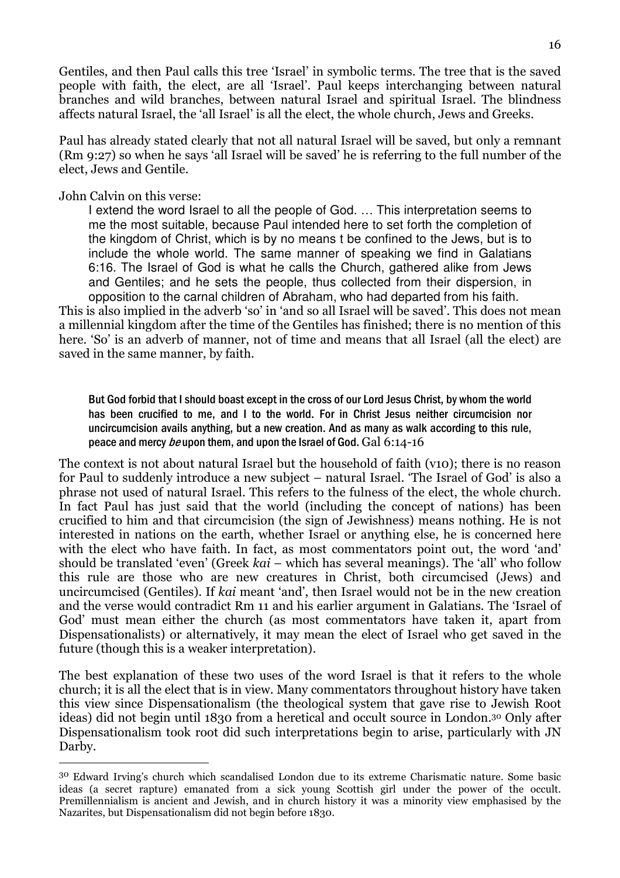Gentiles, and then Paul calls this tree 'Israel' in symbolic terms. The tree that is the saved people with faith, the elect, are all 'Israel'. Paul keeps interchanging between natural branches and wild branches, between natural Israel and spiritual Israel. The blindness affects natural Israel, the 'all Israel' is all the elect, the whole church, Jews and Greeks.

Paul has already stated clearly that not all natural Israel will be saved, but only a remnant (Rm 9:27) so when he says 'all Israel will be saved' he is referring to the full number of the elect, Jews and Gentile.

John Calvin on this verse:

I

I extend the word Israel to all the people of God. … This interpretation seems to me the most suitable, because Paul intended here to set forth the completion of the kingdom of Christ, which is by no means t be confined to the Jews, but is to include the whole world. The same manner of speaking we find in Galatians 6:16. The Israel of God is what he calls the Church, gathered alike from Jews and Gentiles; and he sets the people, thus collected from their dispersion, in opposition to the carnal children of Abraham, who had departed from his faith.

This is also implied in the adverb 'so' in 'and so all Israel will be saved'. This does not mean a millennial kingdom after the time of the Gentiles has finished; there is no mention of this here. 'So' is an adverb of manner, not of time and means that all Israel (all the elect) are saved in the same manner, by faith.

But God forbid that I should boast except in the cross of our Lord Jesus Christ, by whom the world has been crucified to me, and I to the world. For in Christ Jesus neither circumcision nor uncircumcision avails anything, but a new creation. And as many as walk according to this rule, peace and mercy *be* upon them, and upon the Israel of God. Gal 6:14-16

The context is not about natural Israel but the household of faith (v10); there is no reason for Paul to suddenly introduce a new subject – natural Israel. 'The Israel of God' is also a phrase not used of natural Israel. This refers to the fulness of the elect, the whole church. In fact Paul has just said that the world (including the concept of nations) has been crucified to him and that circumcision (the sign of Jewishness) means nothing. He is not interested in nations on the earth, whether Israel or anything else, he is concerned here with the elect who have faith. In fact, as most commentators point out, the word 'and' should be translated 'even' (Greek kai – which has several meanings). The 'all' who follow this rule are those who are new creatures in Christ, both circumcised (Jews) and uncircumcised (Gentiles). If kai meant 'and', then Israel would not be in the new creation and the verse would contradict Rm 11 and his earlier argument in Galatians. The 'Israel of God' must mean either the church (as most commentators have taken it, apart from Dispensationalists) or alternatively, it may mean the elect of Israel who get saved in the future (though this is a weaker interpretation).

The best explanation of these two uses of the word Israel is that it refers to the whole church; it is all the elect that is in view. Many commentators throughout history have taken this view since Dispensationalism (the theological system that gave rise to Jewish Root ideas) did not begin until 1830 from a heretical and occult source in London.30 Only after Dispensationalism took root did such interpretations begin to arise, particularly with JN Darby.

<sup>30</sup> Edward Irving's church which scandalised London due to its extreme Charismatic nature. Some basic ideas (a secret rapture) emanated from a sick young Scottish girl under the power of the occult. Premillennialism is ancient and Jewish, and in church history it was a minority view emphasised by the Nazarites, but Dispensationalism did not begin before 1830.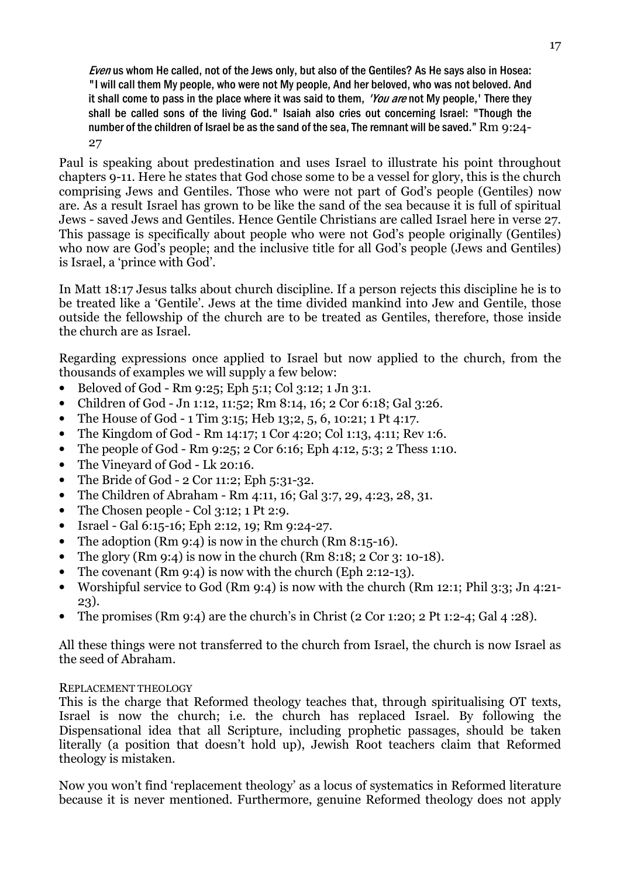Even us whom He called, not of the Jews only, but also of the Gentiles? As He says also in Hosea: "I will call them My people, who were not My people, And her beloved, who was not beloved. And it shall come to pass in the place where it was said to them, 'You are not My people,' There they shall be called sons of the living God." Isaiah also cries out concerning Israel: "Though the number of the children of Israel be as the sand of the sea, The remnant will be saved." Rm 9:24- 27

Paul is speaking about predestination and uses Israel to illustrate his point throughout chapters 9-11. Here he states that God chose some to be a vessel for glory, this is the church comprising Jews and Gentiles. Those who were not part of God's people (Gentiles) now are. As a result Israel has grown to be like the sand of the sea because it is full of spiritual Jews - saved Jews and Gentiles. Hence Gentile Christians are called Israel here in verse 27. This passage is specifically about people who were not God's people originally (Gentiles) who now are God's people; and the inclusive title for all God's people (Jews and Gentiles) is Israel, a 'prince with God'.

In Matt 18:17 Jesus talks about church discipline. If a person rejects this discipline he is to be treated like a 'Gentile'. Jews at the time divided mankind into Jew and Gentile, those outside the fellowship of the church are to be treated as Gentiles, therefore, those inside the church are as Israel.

Regarding expressions once applied to Israel but now applied to the church, from the thousands of examples we will supply a few below:

- Beloved of God Rm 9:25; Eph 5:1; Col 3:12; 1 Jn 3:1.
- Children of God Jn 1:12, 11:52; Rm 8:14, 16; 2 Cor 6:18; Gal 3:26.
- The House of God 1 Tim 3:15; Heb 13;2, 5, 6, 10:21; 1 Pt 4:17.
- The Kingdom of God Rm 14:17; 1 Cor 4:20; Col 1:13, 4:11; Rev 1:6.
- The people of God Rm 9:25; 2 Cor 6:16; Eph 4:12, 5:3; 2 Thess 1:10.
- The Vineyard of God Lk 20:16.
- The Bride of God 2 Cor 11:2; Eph 5:31-32.
- The Children of Abraham Rm 4:11, 16; Gal 3:7, 29, 4:23, 28, 31.
- The Chosen people Col 3:12; 1 Pt 2:9.
- Israel Gal 6:15-16; Eph 2:12, 19; Rm 9:24-27.
- The adoption (Rm 9:4) is now in the church (Rm 8:15-16).
- The glory  $(Rm 9:4)$  is now in the church  $(Rm 8:18:2$  Cor  $3:10-18$ ).
- The covenant (Rm 9:4) is now with the church (Eph 2:12-13).
- Worshipful service to God (Rm 9:4) is now with the church (Rm 12:1; Phil 3:3; Jn 4:21-23).
- The promises (Rm 9:4) are the church's in Christ (2 Cor 1:20; 2 Pt 1:2-4; Gal 4 :28).

All these things were not transferred to the church from Israel, the church is now Israel as the seed of Abraham.

#### REPLACEMENT THEOLOGY

This is the charge that Reformed theology teaches that, through spiritualising OT texts, Israel is now the church; i.e. the church has replaced Israel. By following the Dispensational idea that all Scripture, including prophetic passages, should be taken literally (a position that doesn't hold up), Jewish Root teachers claim that Reformed theology is mistaken.

Now you won't find 'replacement theology' as a locus of systematics in Reformed literature because it is never mentioned. Furthermore, genuine Reformed theology does not apply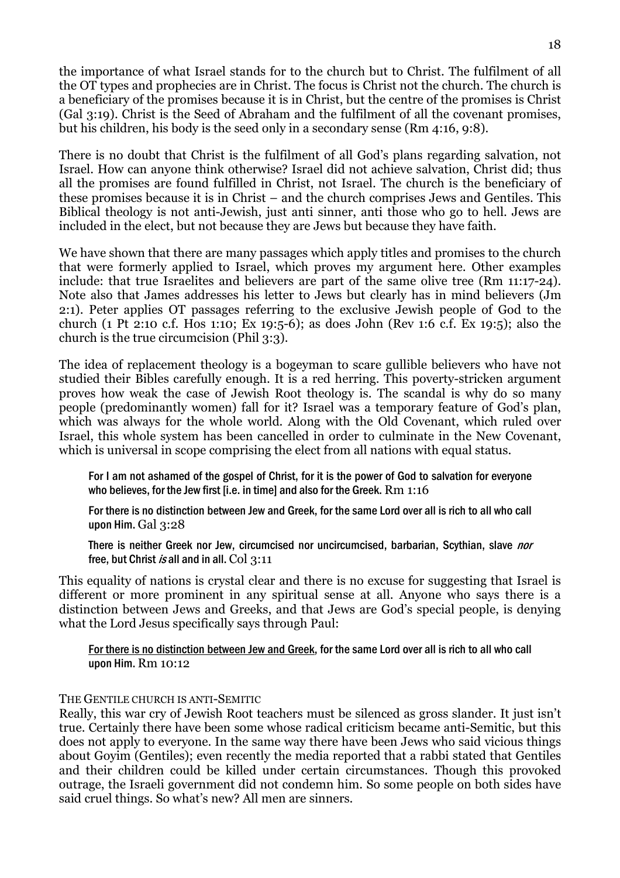the importance of what Israel stands for to the church but to Christ. The fulfilment of all the OT types and prophecies are in Christ. The focus is Christ not the church. The church is a beneficiary of the promises because it is in Christ, but the centre of the promises is Christ (Gal 3:19). Christ is the Seed of Abraham and the fulfilment of all the covenant promises, but his children, his body is the seed only in a secondary sense (Rm 4:16, 9:8).

There is no doubt that Christ is the fulfilment of all God's plans regarding salvation, not Israel. How can anyone think otherwise? Israel did not achieve salvation, Christ did; thus all the promises are found fulfilled in Christ, not Israel. The church is the beneficiary of these promises because it is in Christ – and the church comprises Jews and Gentiles. This Biblical theology is not anti-Jewish, just anti sinner, anti those who go to hell. Jews are included in the elect, but not because they are Jews but because they have faith.

We have shown that there are many passages which apply titles and promises to the church that were formerly applied to Israel, which proves my argument here. Other examples include: that true Israelites and believers are part of the same olive tree (Rm 11:17-24). Note also that James addresses his letter to Jews but clearly has in mind believers (Jm 2:1). Peter applies OT passages referring to the exclusive Jewish people of God to the church (1 Pt 2:10 c.f. Hos 1:10; Ex 19:5-6); as does John (Rev 1:6 c.f. Ex 19:5); also the church is the true circumcision (Phil 3:3).

The idea of replacement theology is a bogeyman to scare gullible believers who have not studied their Bibles carefully enough. It is a red herring. This poverty-stricken argument proves how weak the case of Jewish Root theology is. The scandal is why do so many people (predominantly women) fall for it? Israel was a temporary feature of God's plan, which was always for the whole world. Along with the Old Covenant, which ruled over Israel, this whole system has been cancelled in order to culminate in the New Covenant, which is universal in scope comprising the elect from all nations with equal status.

For I am not ashamed of the gospel of Christ, for it is the power of God to salvation for everyone who believes, for the Jew first [i.e. in time] and also for the Greek. Rm 1:16

For there is no distinction between Jew and Greek, for the same Lord over all is rich to all who call upon Him. Gal 3:28

There is neither Greek nor Jew, circumcised nor uncircumcised, barbarian, Scythian, slave nor free, but Christ is all and in all. Col  $3:11$ 

This equality of nations is crystal clear and there is no excuse for suggesting that Israel is different or more prominent in any spiritual sense at all. Anyone who says there is a distinction between Jews and Greeks, and that Jews are God's special people, is denying what the Lord Jesus specifically says through Paul:

For there is no distinction between Jew and Greek, for the same Lord over all is rich to all who call upon Him. Rm 10:12

#### THE GENTILE CHURCH IS ANTI-SEMITIC

Really, this war cry of Jewish Root teachers must be silenced as gross slander. It just isn't true. Certainly there have been some whose radical criticism became anti-Semitic, but this does not apply to everyone. In the same way there have been Jews who said vicious things about Goyim (Gentiles); even recently the media reported that a rabbi stated that Gentiles and their children could be killed under certain circumstances. Though this provoked outrage, the Israeli government did not condemn him. So some people on both sides have said cruel things. So what's new? All men are sinners.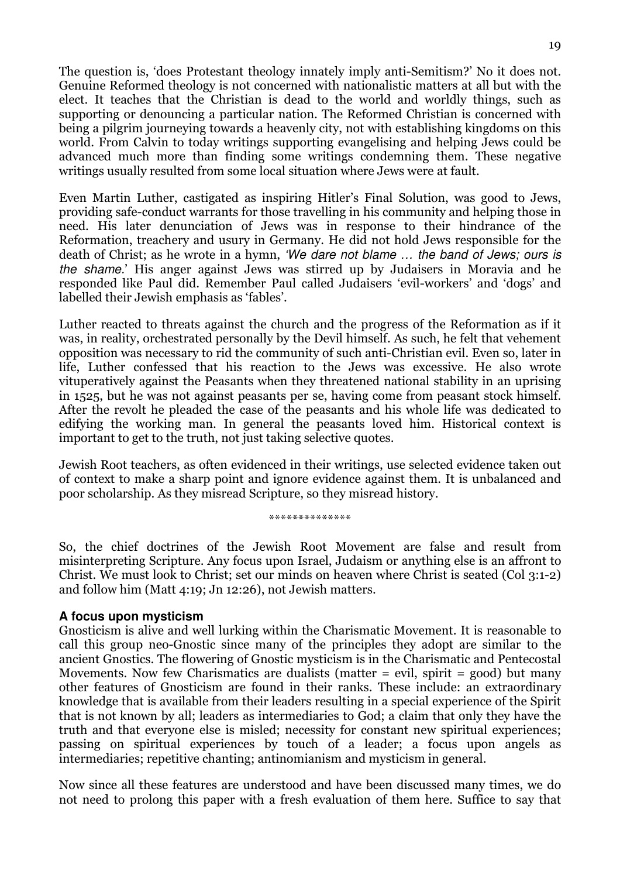The question is, 'does Protestant theology innately imply anti-Semitism?' No it does not. Genuine Reformed theology is not concerned with nationalistic matters at all but with the elect. It teaches that the Christian is dead to the world and worldly things, such as supporting or denouncing a particular nation. The Reformed Christian is concerned with being a pilgrim journeying towards a heavenly city, not with establishing kingdoms on this world. From Calvin to today writings supporting evangelising and helping Jews could be advanced much more than finding some writings condemning them. These negative writings usually resulted from some local situation where Jews were at fault.

Even Martin Luther, castigated as inspiring Hitler's Final Solution, was good to Jews, providing safe-conduct warrants for those travelling in his community and helping those in need. His later denunciation of Jews was in response to their hindrance of the Reformation, treachery and usury in Germany. He did not hold Jews responsible for the death of Christ; as he wrote in a hymn, 'We dare not blame … the band of Jews; ours is the shame.' His anger against Jews was stirred up by Judaisers in Moravia and he responded like Paul did. Remember Paul called Judaisers 'evil-workers' and 'dogs' and labelled their Jewish emphasis as 'fables'.

Luther reacted to threats against the church and the progress of the Reformation as if it was, in reality, orchestrated personally by the Devil himself. As such, he felt that vehement opposition was necessary to rid the community of such anti-Christian evil. Even so, later in life, Luther confessed that his reaction to the Jews was excessive. He also wrote vituperatively against the Peasants when they threatened national stability in an uprising in 1525, but he was not against peasants per se, having come from peasant stock himself. After the revolt he pleaded the case of the peasants and his whole life was dedicated to edifying the working man. In general the peasants loved him. Historical context is important to get to the truth, not just taking selective quotes.

Jewish Root teachers, as often evidenced in their writings, use selected evidence taken out of context to make a sharp point and ignore evidence against them. It is unbalanced and poor scholarship. As they misread Scripture, so they misread history.

\*\*\*\*\*\*\*\*\*\*\*\*\*

So, the chief doctrines of the Jewish Root Movement are false and result from misinterpreting Scripture. Any focus upon Israel, Judaism or anything else is an affront to Christ. We must look to Christ; set our minds on heaven where Christ is seated (Col 3:1-2) and follow him (Matt 4:19; Jn 12:26), not Jewish matters.

#### **A focus upon mysticism**

Gnosticism is alive and well lurking within the Charismatic Movement. It is reasonable to call this group neo-Gnostic since many of the principles they adopt are similar to the ancient Gnostics. The flowering of Gnostic mysticism is in the Charismatic and Pentecostal Movements. Now few Charismatics are dualists (matter  $=$  evil, spirit  $=$  good) but many other features of Gnosticism are found in their ranks. These include: an extraordinary knowledge that is available from their leaders resulting in a special experience of the Spirit that is not known by all; leaders as intermediaries to God; a claim that only they have the truth and that everyone else is misled; necessity for constant new spiritual experiences; passing on spiritual experiences by touch of a leader; a focus upon angels as intermediaries; repetitive chanting; antinomianism and mysticism in general.

Now since all these features are understood and have been discussed many times, we do not need to prolong this paper with a fresh evaluation of them here. Suffice to say that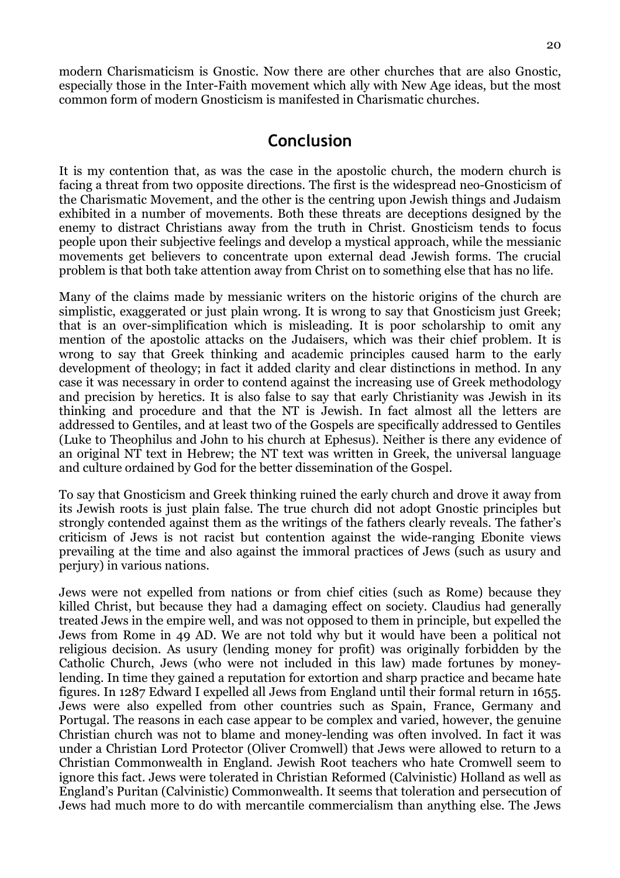20

modern Charismaticism is Gnostic. Now there are other churches that are also Gnostic, especially those in the Inter-Faith movement which ally with New Age ideas, but the most common form of modern Gnosticism is manifested in Charismatic churches.

### Conclusion

It is my contention that, as was the case in the apostolic church, the modern church is facing a threat from two opposite directions. The first is the widespread neo-Gnosticism of the Charismatic Movement, and the other is the centring upon Jewish things and Judaism exhibited in a number of movements. Both these threats are deceptions designed by the enemy to distract Christians away from the truth in Christ. Gnosticism tends to focus people upon their subjective feelings and develop a mystical approach, while the messianic movements get believers to concentrate upon external dead Jewish forms. The crucial problem is that both take attention away from Christ on to something else that has no life.

Many of the claims made by messianic writers on the historic origins of the church are simplistic, exaggerated or just plain wrong. It is wrong to say that Gnosticism just Greek; that is an over-simplification which is misleading. It is poor scholarship to omit any mention of the apostolic attacks on the Judaisers, which was their chief problem. It is wrong to say that Greek thinking and academic principles caused harm to the early development of theology; in fact it added clarity and clear distinctions in method. In any case it was necessary in order to contend against the increasing use of Greek methodology and precision by heretics. It is also false to say that early Christianity was Jewish in its thinking and procedure and that the NT is Jewish. In fact almost all the letters are addressed to Gentiles, and at least two of the Gospels are specifically addressed to Gentiles (Luke to Theophilus and John to his church at Ephesus). Neither is there any evidence of an original NT text in Hebrew; the NT text was written in Greek, the universal language and culture ordained by God for the better dissemination of the Gospel.

To say that Gnosticism and Greek thinking ruined the early church and drove it away from its Jewish roots is just plain false. The true church did not adopt Gnostic principles but strongly contended against them as the writings of the fathers clearly reveals. The father's criticism of Jews is not racist but contention against the wide-ranging Ebonite views prevailing at the time and also against the immoral practices of Jews (such as usury and perjury) in various nations.

Jews were not expelled from nations or from chief cities (such as Rome) because they killed Christ, but because they had a damaging effect on society. Claudius had generally treated Jews in the empire well, and was not opposed to them in principle, but expelled the Jews from Rome in 49 AD. We are not told why but it would have been a political not religious decision. As usury (lending money for profit) was originally forbidden by the Catholic Church, Jews (who were not included in this law) made fortunes by moneylending. In time they gained a reputation for extortion and sharp practice and became hate figures. In 1287 Edward I expelled all Jews from England until their formal return in 1655. Jews were also expelled from other countries such as Spain, France, Germany and Portugal. The reasons in each case appear to be complex and varied, however, the genuine Christian church was not to blame and money-lending was often involved. In fact it was under a Christian Lord Protector (Oliver Cromwell) that Jews were allowed to return to a Christian Commonwealth in England. Jewish Root teachers who hate Cromwell seem to ignore this fact. Jews were tolerated in Christian Reformed (Calvinistic) Holland as well as England's Puritan (Calvinistic) Commonwealth. It seems that toleration and persecution of Jews had much more to do with mercantile commercialism than anything else. The Jews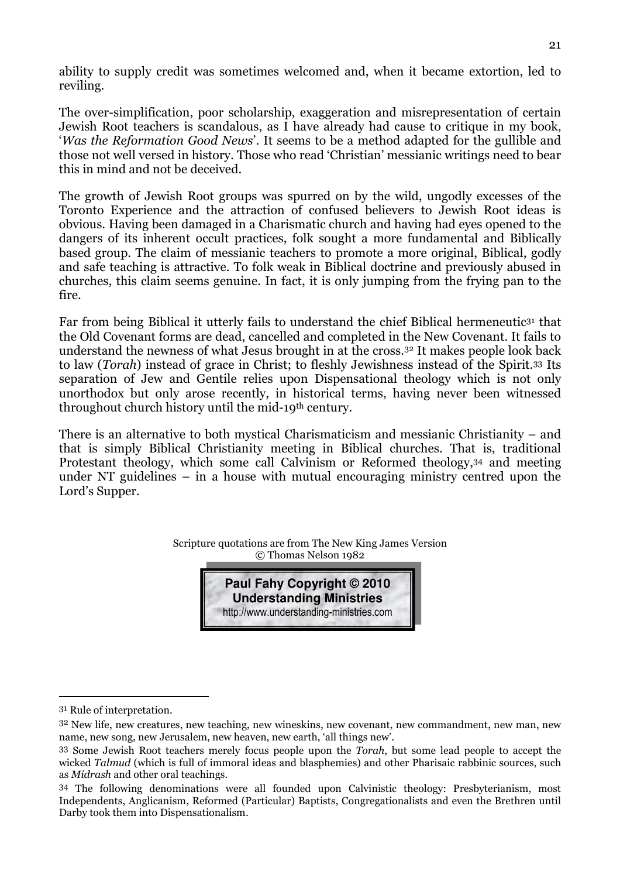ability to supply credit was sometimes welcomed and, when it became extortion, led to reviling.

The over-simplification, poor scholarship, exaggeration and misrepresentation of certain Jewish Root teachers is scandalous, as I have already had cause to critique in my book, 'Was the Reformation Good News'. It seems to be a method adapted for the gullible and those not well versed in history. Those who read 'Christian' messianic writings need to bear this in mind and not be deceived.

The growth of Jewish Root groups was spurred on by the wild, ungodly excesses of the Toronto Experience and the attraction of confused believers to Jewish Root ideas is obvious. Having been damaged in a Charismatic church and having had eyes opened to the dangers of its inherent occult practices, folk sought a more fundamental and Biblically based group. The claim of messianic teachers to promote a more original, Biblical, godly and safe teaching is attractive. To folk weak in Biblical doctrine and previously abused in churches, this claim seems genuine. In fact, it is only jumping from the frying pan to the fire.

Far from being Biblical it utterly fails to understand the chief Biblical hermeneutic31 that the Old Covenant forms are dead, cancelled and completed in the New Covenant. It fails to understand the newness of what Jesus brought in at the cross.32 It makes people look back to law (Torah) instead of grace in Christ; to fleshly Jewishness instead of the Spirit.33 Its separation of Jew and Gentile relies upon Dispensational theology which is not only unorthodox but only arose recently, in historical terms, having never been witnessed throughout church history until the mid-19th century.

There is an alternative to both mystical Charismaticism and messianic Christianity – and that is simply Biblical Christianity meeting in Biblical churches. That is, traditional Protestant theology, which some call Calvinism or Reformed theology,34 and meeting under NT guidelines – in a house with mutual encouraging ministry centred upon the Lord's Supper.

> Scripture quotations are from The New King James Version © Thomas Nelson 1982

> > **Paul Fahy Copyright © 2010 Understanding Ministries**  http://www.understanding-ministries.com

 $\overline{a}$ 

<sup>31</sup> Rule of interpretation.

<sup>32</sup> New life, new creatures, new teaching, new wineskins, new covenant, new commandment, new man, new name, new song, new Jerusalem, new heaven, new earth, 'all things new'.

<sup>33</sup> Some Jewish Root teachers merely focus people upon the Torah, but some lead people to accept the wicked Talmud (which is full of immoral ideas and blasphemies) and other Pharisaic rabbinic sources, such as Midrash and other oral teachings.

<sup>34</sup> The following denominations were all founded upon Calvinistic theology: Presbyterianism, most Independents, Anglicanism, Reformed (Particular) Baptists, Congregationalists and even the Brethren until Darby took them into Dispensationalism.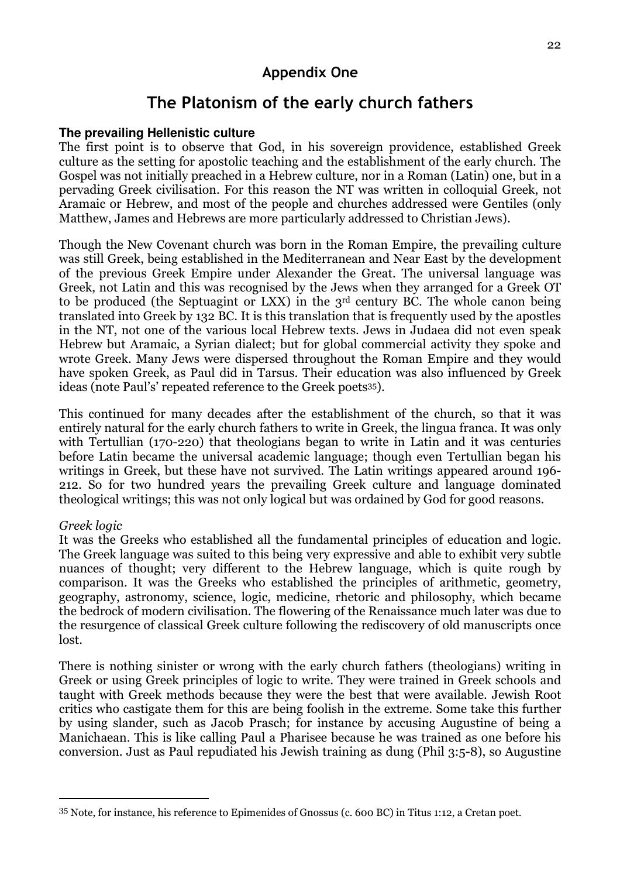### Appendix One

# The Platonism of the early church fathers

#### **The prevailing Hellenistic culture**

The first point is to observe that God, in his sovereign providence, established Greek culture as the setting for apostolic teaching and the establishment of the early church. The Gospel was not initially preached in a Hebrew culture, nor in a Roman (Latin) one, but in a pervading Greek civilisation. For this reason the NT was written in colloquial Greek, not Aramaic or Hebrew, and most of the people and churches addressed were Gentiles (only Matthew, James and Hebrews are more particularly addressed to Christian Jews).

Though the New Covenant church was born in the Roman Empire, the prevailing culture was still Greek, being established in the Mediterranean and Near East by the development of the previous Greek Empire under Alexander the Great. The universal language was Greek, not Latin and this was recognised by the Jews when they arranged for a Greek OT to be produced (the Septuagint or LXX) in the 3rd century BC. The whole canon being translated into Greek by 132 BC. It is this translation that is frequently used by the apostles in the NT, not one of the various local Hebrew texts. Jews in Judaea did not even speak Hebrew but Aramaic, a Syrian dialect; but for global commercial activity they spoke and wrote Greek. Many Jews were dispersed throughout the Roman Empire and they would have spoken Greek, as Paul did in Tarsus. Their education was also influenced by Greek ideas (note Paul's' repeated reference to the Greek poets35).

This continued for many decades after the establishment of the church, so that it was entirely natural for the early church fathers to write in Greek, the lingua franca. It was only with Tertullian (170-220) that theologians began to write in Latin and it was centuries before Latin became the universal academic language; though even Tertullian began his writings in Greek, but these have not survived. The Latin writings appeared around 196- 212. So for two hundred years the prevailing Greek culture and language dominated theological writings; this was not only logical but was ordained by God for good reasons.

#### Greek logic

 $\overline{a}$ 

It was the Greeks who established all the fundamental principles of education and logic. The Greek language was suited to this being very expressive and able to exhibit very subtle nuances of thought; very different to the Hebrew language, which is quite rough by comparison. It was the Greeks who established the principles of arithmetic, geometry, geography, astronomy, science, logic, medicine, rhetoric and philosophy, which became the bedrock of modern civilisation. The flowering of the Renaissance much later was due to the resurgence of classical Greek culture following the rediscovery of old manuscripts once lost.

There is nothing sinister or wrong with the early church fathers (theologians) writing in Greek or using Greek principles of logic to write. They were trained in Greek schools and taught with Greek methods because they were the best that were available. Jewish Root critics who castigate them for this are being foolish in the extreme. Some take this further by using slander, such as Jacob Prasch; for instance by accusing Augustine of being a Manichaean. This is like calling Paul a Pharisee because he was trained as one before his conversion. Just as Paul repudiated his Jewish training as dung (Phil 3:5-8), so Augustine

<sup>35</sup> Note, for instance, his reference to Epimenides of Gnossus (c. 600 BC) in Titus 1:12, a Cretan poet.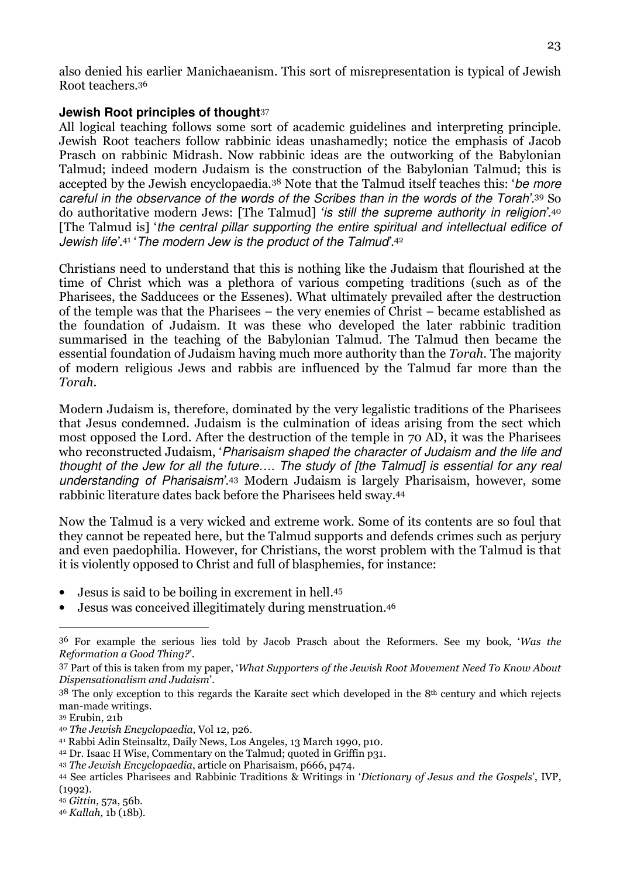also denied his earlier Manichaeanism. This sort of misrepresentation is typical of Jewish Root teachers.<sup>36</sup>

#### **Jewish Root principles of thought**<sup>37</sup>

All logical teaching follows some sort of academic guidelines and interpreting principle. Jewish Root teachers follow rabbinic ideas unashamedly; notice the emphasis of Jacob Prasch on rabbinic Midrash. Now rabbinic ideas are the outworking of the Babylonian Talmud; indeed modern Judaism is the construction of the Babylonian Talmud; this is accepted by the Jewish encyclopaedia.38 Note that the Talmud itself teaches this: 'be more careful in the observance of the words of the Scribes than in the words of the Torah'.<sup>39</sup> So do authoritative modern Jews: [The Talmud] 'is still the supreme authority in religion'.<sup>40</sup> [The Talmud is] 'the central pillar supporting the entire spiritual and intellectual edifice of Jewish life'. <sup>41</sup> 'The modern Jew is the product of the Talmud'.<sup>42</sup>

Christians need to understand that this is nothing like the Judaism that flourished at the time of Christ which was a plethora of various competing traditions (such as of the Pharisees, the Sadducees or the Essenes). What ultimately prevailed after the destruction of the temple was that the Pharisees – the very enemies of Christ – became established as the foundation of Judaism. It was these who developed the later rabbinic tradition summarised in the teaching of the Babylonian Talmud. The Talmud then became the essential foundation of Judaism having much more authority than the Torah. The majority of modern religious Jews and rabbis are influenced by the Talmud far more than the Torah.

Modern Judaism is, therefore, dominated by the very legalistic traditions of the Pharisees that Jesus condemned. Judaism is the culmination of ideas arising from the sect which most opposed the Lord. After the destruction of the temple in 70 AD, it was the Pharisees who reconstructed Judaism, 'Pharisaism shaped the character of Judaism and the life and thought of the Jew for all the future…. The study of [the Talmud] is essential for any real understanding of Pharisaism'.43 Modern Judaism is largely Pharisaism, however, some rabbinic literature dates back before the Pharisees held sway.<sup>44</sup>

Now the Talmud is a very wicked and extreme work. Some of its contents are so foul that they cannot be repeated here, but the Talmud supports and defends crimes such as perjury and even paedophilia. However, for Christians, the worst problem with the Talmud is that it is violently opposed to Christ and full of blasphemies, for instance:

- Jesus is said to be boiling in excrement in hell.<sup>45</sup>
- Jesus was conceived illegitimately during menstruation.<sup>46</sup>

 $\overline{a}$ 

<sup>36</sup> For example the serious lies told by Jacob Prasch about the Reformers. See my book, 'Was the Reformation a Good Thing?'.

<sup>37</sup> Part of this is taken from my paper, 'What Supporters of the Jewish Root Movement Need To Know About Dispensationalism and Judaism'.

 $38$  The only exception to this regards the Karaite sect which developed in the  $8<sup>th</sup>$  century and which rejects man-made writings.

<sup>39</sup> Erubin, 21b

<sup>40</sup> The Jewish Encyclopaedia, Vol 12, p26.

<sup>41</sup> Rabbi Adin Steinsaltz, Daily News, Los Angeles, 13 March 1990, p10.

<sup>42</sup> Dr. Isaac H Wise, Commentary on the Talmud; quoted in Griffin p31.

<sup>43</sup> The Jewish Encyclopaedia, article on Pharisaism, p666, p474.

<sup>44</sup> See articles Pharisees and Rabbinic Traditions & Writings in 'Dictionary of Jesus and the Gospels', IVP, (1992).

<sup>45</sup> Gittin, 57a, 56b.

<sup>46</sup> Kallah, 1b (18b).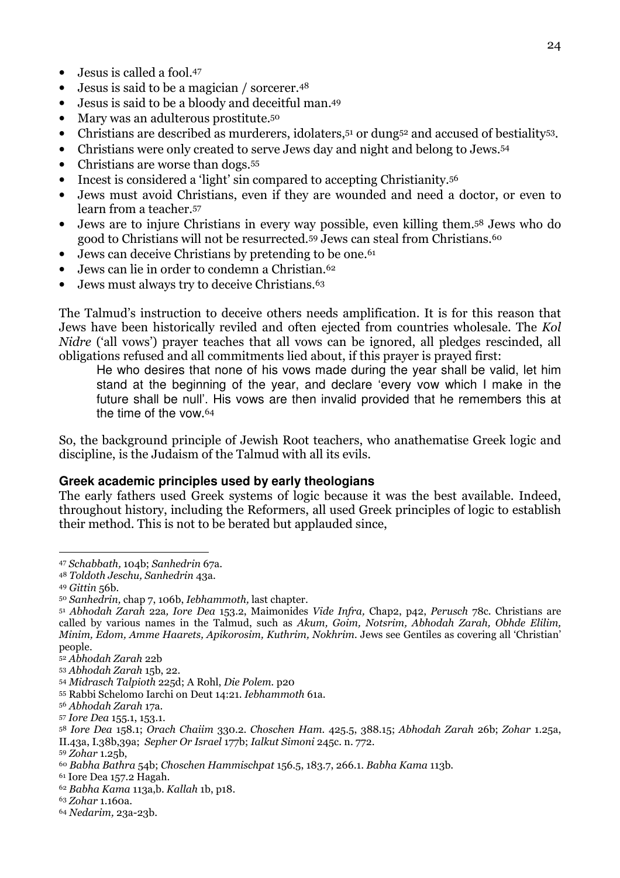- Jesus is called a fool.47
- Jesus is said to be a magician / sorcerer.<sup>48</sup>
- Jesus is said to be a bloody and deceitful man.<sup>49</sup>
- Mary was an adulterous prostitute.<sup>50</sup>
- Christians are described as murderers, idolaters, <sup>51</sup> or dung<sup>52</sup> and accused of bestiality<sup>53</sup>.
- Christians were only created to serve Jews day and night and belong to Jews.<sup>54</sup>
- Christians are worse than dogs.<sup>55</sup>
- Incest is considered a 'light' sin compared to accepting Christianity.<sup>56</sup>
- Jews must avoid Christians, even if they are wounded and need a doctor, or even to learn from a teacher.<sup>57</sup>
- Jews are to injure Christians in every way possible, even killing them.<sup>58</sup> Jews who do good to Christians will not be resurrected.59 Jews can steal from Christians.<sup>60</sup>
- Jews can deceive Christians by pretending to be one. 61
- Jews can lie in order to condemn a Christian.<sup>62</sup>
- Jews must always try to deceive Christians.<sup>63</sup>

The Talmud's instruction to deceive others needs amplification. It is for this reason that Jews have been historically reviled and often ejected from countries wholesale. The Kol Nidre ('all vows') prayer teaches that all vows can be ignored, all pledges rescinded, all obligations refused and all commitments lied about, if this prayer is prayed first:

He who desires that none of his vows made during the year shall be valid, let him stand at the beginning of the year, and declare 'every vow which I make in the future shall be null'. His vows are then invalid provided that he remembers this at the time of the vow. 64

So, the background principle of Jewish Root teachers, who anathematise Greek logic and discipline, is the Judaism of the Talmud with all its evils.

#### **Greek academic principles used by early theologians**

The early fathers used Greek systems of logic because it was the best available. Indeed, throughout history, including the Reformers, all used Greek principles of logic to establish their method. This is not to be berated but applauded since,

 $\overline{a}$ <sup>47</sup> Schabbath, 104b; Sanhedrin 67a.

<sup>48</sup> Toldoth Jeschu, Sanhedrin 43a.

<sup>49</sup> Gittin 56b.

<sup>50</sup> Sanhedrin, chap 7, 106b, Iebhammoth, last chapter.

<sup>51</sup> Abhodah Zarah 22a, Iore Dea 153.2, Maimonides Vide Infra, Chap2, p42, Perusch 78c. Christians are called by various names in the Talmud, such as Akum, Goim, Notsrim, Abhodah Zarah, Obhde Elilim, Minim, Edom, Amme Haarets, Apikorosim, Kuthrim, Nokhrim. Jews see Gentiles as covering all 'Christian' people.

<sup>52</sup> Abhodah Zarah 22b

<sup>53</sup> Abhodah Zarah 15b, 22.

<sup>54</sup> Midrasch Talpioth 225d; A Rohl, Die Polem. p20

<sup>55</sup> Rabbi Schelomo Iarchi on Deut 14:21. Iebhammoth 61a.

<sup>56</sup> Abhodah Zarah 17a.

<sup>57</sup> Iore Dea 155.1, 153.1.

<sup>58</sup> Iore Dea 158.1; Orach Chaiim 330.2. Choschen Ham. 425.5, 388.15; Abhodah Zarah 26b; Zohar 1.25a,

II.43a, I.38b,39a; Sepher Or Israel 177b; Ialkut Simoni 245c. n. 772.

<sup>59</sup> Zohar 1.25b,

<sup>60</sup> Babha Bathra 54b; Choschen Hammischpat 156.5, 183.7, 266.1. Babha Kama 113b.

<sup>61</sup> Iore Dea 157.2 Hagah.

<sup>62</sup> Babha Kama 113a,b. Kallah 1b, p18.

<sup>63</sup> Zohar 1.160a.

<sup>64</sup> Nedarim, 23a-23b.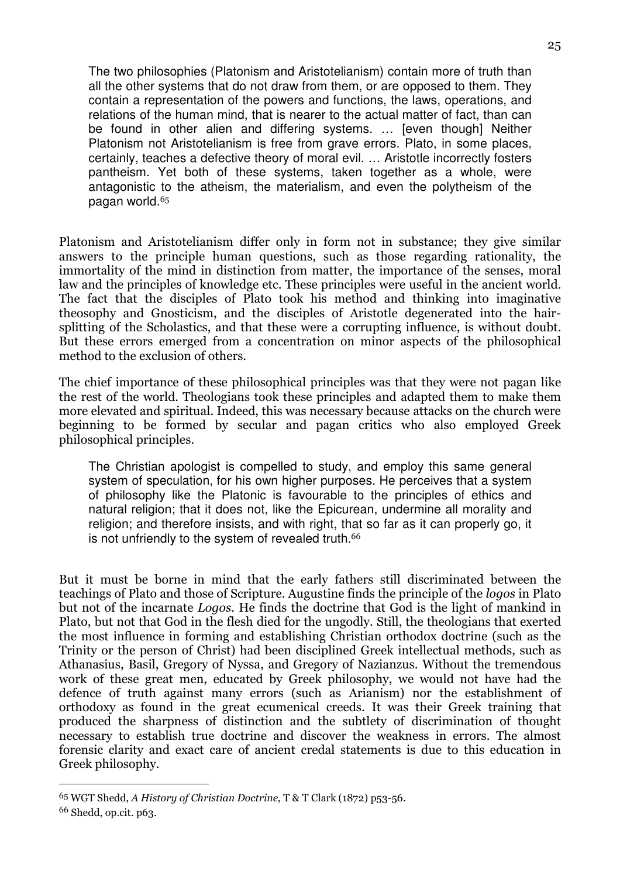The two philosophies (Platonism and Aristotelianism) contain more of truth than all the other systems that do not draw from them, or are opposed to them. They contain a representation of the powers and functions, the laws, operations, and relations of the human mind, that is nearer to the actual matter of fact, than can be found in other alien and differing systems. … [even though] Neither Platonism not Aristotelianism is free from grave errors. Plato, in some places, certainly, teaches a defective theory of moral evil. … Aristotle incorrectly fosters pantheism. Yet both of these systems, taken together as a whole, were antagonistic to the atheism, the materialism, and even the polytheism of the pagan world.<sup>65</sup>

Platonism and Aristotelianism differ only in form not in substance; they give similar answers to the principle human questions, such as those regarding rationality, the immortality of the mind in distinction from matter, the importance of the senses, moral law and the principles of knowledge etc. These principles were useful in the ancient world. The fact that the disciples of Plato took his method and thinking into imaginative theosophy and Gnosticism, and the disciples of Aristotle degenerated into the hairsplitting of the Scholastics, and that these were a corrupting influence, is without doubt. But these errors emerged from a concentration on minor aspects of the philosophical method to the exclusion of others.

The chief importance of these philosophical principles was that they were not pagan like the rest of the world. Theologians took these principles and adapted them to make them more elevated and spiritual. Indeed, this was necessary because attacks on the church were beginning to be formed by secular and pagan critics who also employed Greek philosophical principles.

The Christian apologist is compelled to study, and employ this same general system of speculation, for his own higher purposes. He perceives that a system of philosophy like the Platonic is favourable to the principles of ethics and natural religion; that it does not, like the Epicurean, undermine all morality and religion; and therefore insists, and with right, that so far as it can properly go, it is not unfriendly to the system of revealed truth.<sup>66</sup>

But it must be borne in mind that the early fathers still discriminated between the teachings of Plato and those of Scripture. Augustine finds the principle of the logos in Plato but not of the incarnate Logos. He finds the doctrine that God is the light of mankind in Plato, but not that God in the flesh died for the ungodly. Still, the theologians that exerted the most influence in forming and establishing Christian orthodox doctrine (such as the Trinity or the person of Christ) had been disciplined Greek intellectual methods, such as Athanasius, Basil, Gregory of Nyssa, and Gregory of Nazianzus. Without the tremendous work of these great men, educated by Greek philosophy, we would not have had the defence of truth against many errors (such as Arianism) nor the establishment of orthodoxy as found in the great ecumenical creeds. It was their Greek training that produced the sharpness of distinction and the subtlety of discrimination of thought necessary to establish true doctrine and discover the weakness in errors. The almost forensic clarity and exact care of ancient credal statements is due to this education in Greek philosophy.

 $\overline{a}$ 

<sup>65</sup> WGT Shedd, A History of Christian Doctrine, T & T Clark (1872) p53-56. 66 Shedd, op.cit. p63.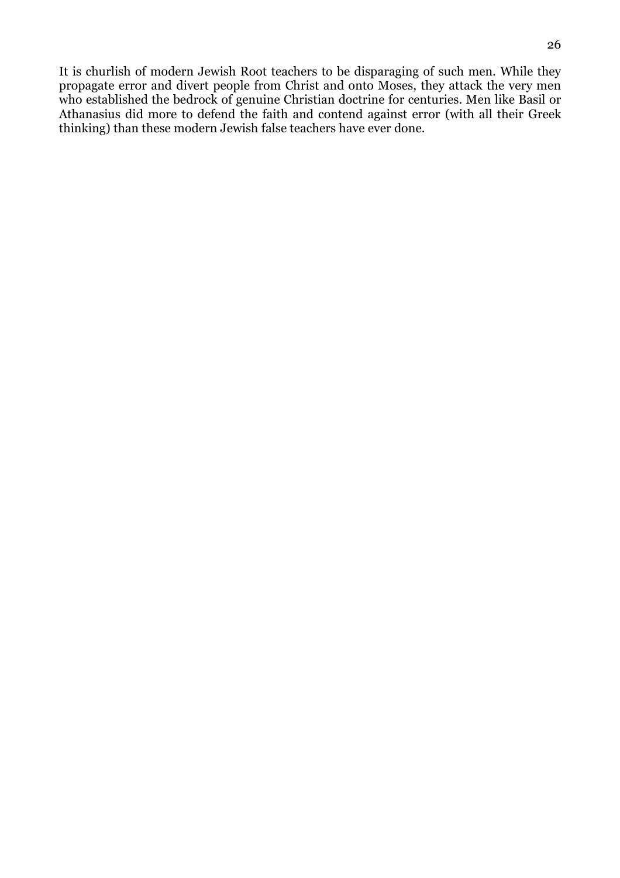It is churlish of modern Jewish Root teachers to be disparaging of such men. While they propagate error and divert people from Christ and onto Moses, they attack the very men who established the bedrock of genuine Christian doctrine for centuries. Men like Basil or Athanasius did more to defend the faith and contend against error (with all their Greek thinking) than these modern Jewish false teachers have ever done.